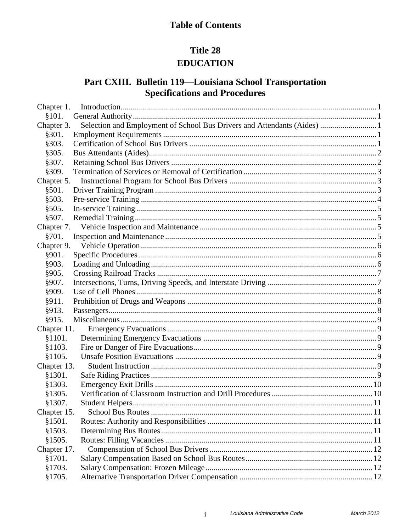# **Table of Contents**

# Title 28 **EDUCATION**

# Part CXIII. Bulletin 119-Louisiana School Transportation **Specifications and Procedures**

| Chapter 1.  |                                                                          |  |
|-------------|--------------------------------------------------------------------------|--|
| \$101.      |                                                                          |  |
| Chapter 3.  | Selection and Employment of School Bus Drivers and Attendants (Aides)  1 |  |
| §301.       |                                                                          |  |
| §303.       |                                                                          |  |
| §305.       |                                                                          |  |
| §307.       |                                                                          |  |
| §309.       |                                                                          |  |
| Chapter 5.  |                                                                          |  |
| §501.       |                                                                          |  |
| \$503.      |                                                                          |  |
| §505.       |                                                                          |  |
| \$507.      |                                                                          |  |
| Chapter 7.  |                                                                          |  |
| §701.       |                                                                          |  |
| Chapter 9.  |                                                                          |  |
| §901.       |                                                                          |  |
| §903.       |                                                                          |  |
| §905.       |                                                                          |  |
| §907.       |                                                                          |  |
| §909.       |                                                                          |  |
| §911.       |                                                                          |  |
| §913.       |                                                                          |  |
| §915.       |                                                                          |  |
| Chapter 11. |                                                                          |  |
| §1101.      |                                                                          |  |
| §1103.      |                                                                          |  |
| §1105.      |                                                                          |  |
| Chapter 13. |                                                                          |  |
| §1301.      |                                                                          |  |
| §1303.      |                                                                          |  |
| §1305.      |                                                                          |  |
| §1307.      |                                                                          |  |
| Chapter 15. |                                                                          |  |
| §1501.      |                                                                          |  |
| \$1503.     |                                                                          |  |
| §1505.      |                                                                          |  |
| Chapter 17. |                                                                          |  |
| §1701.      |                                                                          |  |
| \$1703.     |                                                                          |  |
| §1705.      |                                                                          |  |

 $\mathbf{i}$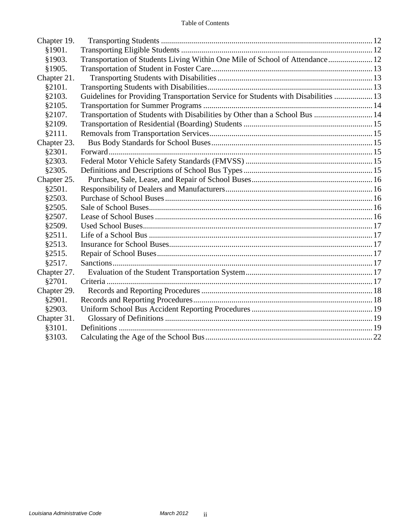| Chapter 19. |                                                                                    |  |
|-------------|------------------------------------------------------------------------------------|--|
| §1901.      |                                                                                    |  |
| §1903.      | Transportation of Students Living Within One Mile of School of Attendance 12       |  |
| §1905.      |                                                                                    |  |
| Chapter 21. |                                                                                    |  |
| §2101.      |                                                                                    |  |
| §2103.      | Guidelines for Providing Transportation Service for Students with Disabilities  13 |  |
| §2105.      |                                                                                    |  |
| §2107.      | Transportation of Students with Disabilities by Other than a School Bus  14        |  |
| §2109.      |                                                                                    |  |
| \$2111.     |                                                                                    |  |
| Chapter 23. |                                                                                    |  |
| §2301.      |                                                                                    |  |
| §2303.      |                                                                                    |  |
| §2305.      |                                                                                    |  |
| Chapter 25. |                                                                                    |  |
| §2501.      |                                                                                    |  |
| §2503.      |                                                                                    |  |
| §2505.      |                                                                                    |  |
| §2507.      |                                                                                    |  |
| §2509.      |                                                                                    |  |
| §2511.      |                                                                                    |  |
| §2513.      |                                                                                    |  |
| §2515.      |                                                                                    |  |
| §2517.      |                                                                                    |  |
| Chapter 27. |                                                                                    |  |
| §2701.      |                                                                                    |  |
| Chapter 29. |                                                                                    |  |
| §2901.      |                                                                                    |  |
| §2903.      |                                                                                    |  |
| Chapter 31. |                                                                                    |  |
| §3101.      |                                                                                    |  |
| §3103.      |                                                                                    |  |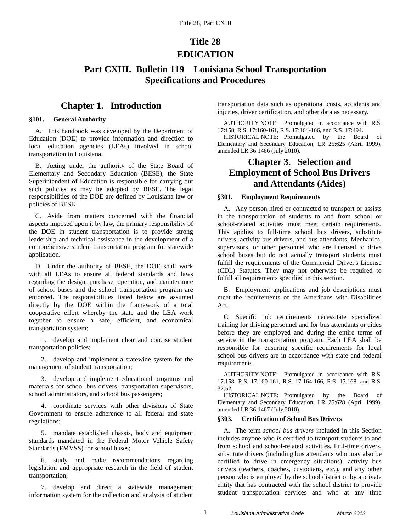# **Title 28 EDUCATION**

## **Part CXIII. Bulletin 119—Louisiana School Transportation Specifications and Procedures**

### **Chapter 1. Introduction**

### <span id="page-2-1"></span><span id="page-2-0"></span>**§101. General Authority**

A. This handbook was developed by the Department of Education (DOE) to provide information and direction to local education agencies (LEAs) involved in school transportation in Louisiana.

B. Acting under the authority of the State Board of Elementary and Secondary Education (BESE), the State Superintendent of Education is responsible for carrying out such policies as may be adopted by BESE. The legal responsibilities of the DOE are defined by Louisiana law or policies of BESE.

C. Aside from matters concerned with the financial aspects imposed upon it by law, the primary responsibility of the DOE in student transportation is to provide strong leadership and technical assistance in the development of a comprehensive student transportation program for statewide application.

D. Under the authority of BESE, the DOE shall work with all LEAs to ensure all federal standards and laws regarding the design, purchase, operation, and maintenance of school buses and the school transportation program are enforced. The responsibilities listed below are assumed directly by the DOE within the framework of a total cooperative effort whereby the state and the LEA work together to ensure a safe, efficient, and economical transportation system:

1. develop and implement clear and concise student transportation policies;

2. develop and implement a statewide system for the management of student transportation;

3. develop and implement educational programs and materials for school bus drivers, transportation supervisors, school administrators, and school bus passengers;

4. coordinate services with other divisions of State Government to ensure adherence to all federal and state regulations;

5. mandate established chassis, body and equipment standards mandated in the Federal Motor Vehicle Safety Standards (FMVSS) for school buses;

6. study and make recommendations regarding legislation and appropriate research in the field of student transportation;

7. develop and direct a statewide management information system for the collection and analysis of student transportation data such as operational costs, accidents and injuries, driver certification, and other data as necessary.

AUTHORITY NOTE: Promulgated in accordance with R.S. 17:158, R.S. 17:160-161, R.S. 17:164-166, and R.S. 17:494.

HISTORICAL NOTE: Promulgated by the Board of Elementary and Secondary Education, LR 25:625 (April 1999), amended LR 36:1466 (July 2010).

## <span id="page-2-2"></span>**Chapter 3. Selection and Employment of School Bus Drivers and Attendants (Aides)**

### <span id="page-2-3"></span>**§301. Employment Requirements**

A. Any person hired or contracted to transport or assists in the transportation of students to and from school or school-related activities must meet certain requirements. This applies to full-time school bus drivers, substitute drivers, activity bus drivers, and bus attendants. Mechanics, supervisors, or other personnel who are licensed to drive school buses but do not actually transport students must fulfill the requirements of the Commercial Driver's License (CDL) Statutes. They may not otherwise be required to fulfill all requirements specified in this section.

B. Employment applications and job descriptions must meet the requirements of the Americans with Disabilities Act.

C. Specific job requirements necessitate specialized training for driving personnel and for bus attendants or aides before they are employed and during the entire terms of service in the transportation program. Each LEA shall be responsible for ensuring specific requirements for local school bus drivers are in accordance with state and federal requirements.

AUTHORITY NOTE: Promulgated in accordance with R.S. 17:158, R.S. 17:160-161, R.S. 17:164-166, R.S. 17:168, and R.S. 32:52.

HISTORICAL NOTE: Promulgated by the Board of Elementary and Secondary Education, LR 25:628 (April 1999), amended LR 36:1467 (July 2010).

### <span id="page-2-4"></span>**§303. Certification of School Bus Drivers**

A. The term *school bus drivers* included in this Section includes anyone who is certified to transport students to and from school and school-related activities. Full-time drivers, substitute drivers (including bus attendants who may also be certified to drive in emergency situations), activity bus drivers (teachers, coaches, custodians, etc.), and any other person who is employed by the school district or by a private entity that has contracted with the school district to provide student transportation services and who at any time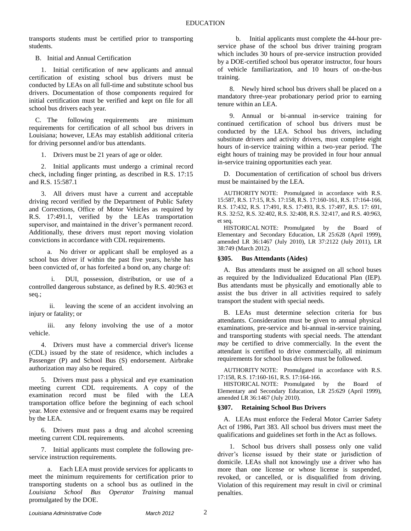transports students must be certified prior to transporting students.

B. Initial and Annual Certification

1. Initial certification of new applicants and annual certification of existing school bus drivers must be conducted by LEAs on all full-time and substitute school bus drivers. Documentation of those components required for initial certification must be verified and kept on file for all school bus drivers each year.

C. The following requirements are minimum requirements for certification of all school bus drivers in Louisiana; however, LEAs may establish additional criteria for driving personnel and/or bus attendants.

1. Drivers must be 21 years of age or older.

2. Initial applicants must undergo a criminal record check, including finger printing, as described in R.S. 17:15 and R.S. 15:587.1

3. All drivers must have a current and acceptable driving record verified by the Department of Public Safety and Corrections, Office of Motor Vehicles as required by R.S. 17:491.1, verified by the LEAs transportation supervisor, and maintained in the driver's permanent record. Additionally, these drivers must report moving violation convictions in accordance with CDL requirements.

a. No driver or applicant shall be employed as a school bus driver if within the past five years, he/she has been convicted of, or has forfeited a bond on, any charge of:

i. DUI, possession, distribution, or use of a controlled dangerous substance, as defined by R.S. 40:963 et seq.;

ii. leaving the scene of an accident involving an injury or fatality; or

iii. any felony involving the use of a motor vehicle.

4. Drivers must have a commercial driver's license (CDL) issued by the state of residence, which includes a Passenger (P) and School Bus (S) endorsement. Airbrake authorization may also be required.

5. Drivers must pass a physical and eye examination meeting current CDL requirements. A copy of the examination record must be filed with the LEA transportation office before the beginning of each school year. More extensive and or frequent exams may be required by the LEA.

6. Drivers must pass a drug and alcohol screening meeting current CDL requirements.

7. Initial applicants must complete the following preservice instruction requirements.

a. Each LEA must provide services for applicants to meet the minimum requirements for certification prior to transporting students on a school bus as outlined in the *Louisiana School Bus Operator Training* manual promulgated by the DOE.

b. Initial applicants must complete the 44-hour preservice phase of the school bus driver training program which includes 30 hours of pre-service instruction provided by a DOE-certified school bus operator instructor, four hours of vehicle familiarization, and 10 hours of on-the-bus training.

8. Newly hired school bus drivers shall be placed on a mandatory three-year probationary period prior to earning tenure within an LEA.

9. Annual or bi-annual in-service training for continued certification of school bus drivers must be conducted by the LEA. School bus drivers, including substitute drivers and activity drivers, must complete eight hours of in-service training within a two-year period. The eight hours of training may be provided in four hour annual in-service training opportunities each year.

D. Documentation of certification of school bus drivers must be maintained by the LEA.

AUTHORITY NOTE: Promulgated in accordance with R.S. 15:587, R.S. 17:15, R.S. 17:158, R.S. 17:160-161, R.S. 17:164-166, R.S. 17:432, R.S. 17:491, R.S. 17:493, R.S. 17:497, R.S. 17: 691, R.S. 32:52, R.S. 32:402, R.S. 32:408, R.S. 32:417, and R.S. 40:963, et seq.

HISTORICAL NOTE: Promulgated by the Board of Elementary and Secondary Education, LR 25:628 (April 1999), amended LR 36:1467 (July 2010), LR 37:2122 (July 2011), LR 38:749 (March 2012).

#### <span id="page-3-0"></span>**§305. Bus Attendants (Aides)**

A. Bus attendants must be assigned on all school buses as required by the Individualized Educational Plan (IEP). Bus attendants must be physically and emotionally able to assist the bus driver in all activities required to safely transport the student with special needs.

B. LEAs must determine selection criteria for bus attendants. Consideration must be given to annual physical examinations, pre-service and bi-annual in-service training, and transporting students with special needs. The attendant *may* be certified to drive commercially. In the event the attendant is certified to drive commercially, all minimum requirements for school bus drivers must be followed.

AUTHORITY NOTE: Promulgated in accordance with R.S. 17:158, R.S. 17:160-161, R.S. 17:164-166.

HISTORICAL NOTE: Promulgated by the Board of Elementary and Secondary Education, LR 25:629 (April 1999), amended LR 36:1467 (July 2010).

#### <span id="page-3-1"></span>**§307. Retaining School Bus Drivers**

A. LEAs must enforce the Federal Motor Carrier Safety Act of 1986, Part 383. All school bus drivers must meet the qualifications and guidelines set forth in the Act as follows.

1. School bus drivers shall possess only one valid driver's license issued by their state or jurisdiction of domicile. LEAs shall not knowingly use a driver who has more than one license or whose license is suspended, revoked, or cancelled, or is disqualified from driving. Violation of this requirement may result in civil or criminal penalties.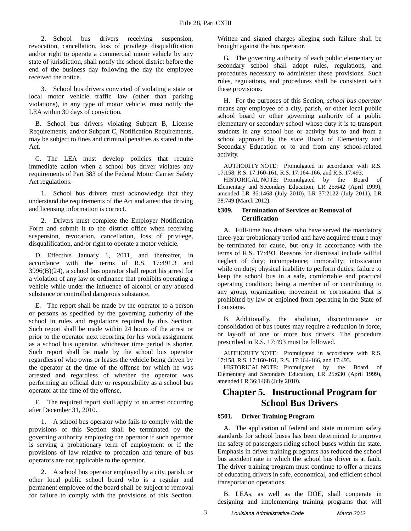2. School bus drivers receiving suspension, revocation, cancellation, loss of privilege disqualification and/or right to operate a commercial motor vehicle by any state of jurisdiction, shall notify the school district before the end of the business day following the day the employee received the notice.

3. School bus drivers convicted of violating a state or local motor vehicle traffic law (other than parking violations), in any type of motor vehicle, must notify the LEA within 30 days of conviction.

B. School bus drivers violating Subpart B, License Requirements, and/or Subpart C, Notification Requirements, may be subject to fines and criminal penalties as stated in the Act.

C. The LEA must develop policies that require immediate action when a school bus driver violates any requirements of Part 383 of the Federal Motor Carrier Safety Act regulations.

1. School bus drivers must acknowledge that they understand the requirements of the Act and attest that driving and licensing information is correct.

2. Drivers must complete the Employer Notification Form and submit it to the district office when receiving suspension, revocation, cancellation, loss of privilege, disqualification, and/or right to operate a motor vehicle.

D. Effective January 1, 2011, and thereafter, in accordance with the terms of R.S. 17:491.3 and 3996(B)(24), a school bus operator shall report his arrest for a violation of any law or ordinance that prohibits operating a vehicle while under the influence of alcohol or any abused substance or controlled dangerous substance.

E. The report shall be made by the operator to a person or persons as specified by the governing authority of the school in rules and regulations required by this Section. Such report shall be made within 24 hours of the arrest or prior to the operator next reporting for his work assignment as a school bus operator, whichever time period is shorter. Such report shall be made by the school bus operator regardless of who owns or leases the vehicle being driven by the operator at the time of the offense for which he was arrested and regardless of whether the operator was performing an official duty or responsibility as a school bus operator at the time of the offense.

F. The required report shall apply to an arrest occurring after December 31, 2010.

1. A school bus operator who fails to comply with the provisions of this Section shall be terminated by the governing authority employing the operator if such operator is serving a probationary term of employment or if the provisions of law relative to probation and tenure of bus operators are not applicable to the operator.

2. A school bus operator employed by a city, parish, or other local public school board who is a regular and permanent employee of the board shall be subject to removal for failure to comply with the provisions of this Section. Written and signed charges alleging such failure shall be brought against the bus operator.

G. The governing authority of each public elementary or secondary school shall adopt rules, regulations, and procedures necessary to administer these provisions. Such rules, regulations, and procedures shall be consistent with these provisions.

H. For the purposes of this Section, *school bus operator* means any employee of a city, parish, or other local public school board or other governing authority of a public elementary or secondary school whose duty it is to transport students in any school bus or activity bus to and from a school approved by the state Board of Elementary and Secondary Education or to and from any school-related activity.

AUTHORITY NOTE: Promulgated in accordance with R.S. 17:158, R.S. 17:160-161, R.S. 17:164-166, and R.S. 17:493.

HISTORICAL NOTE: Promulgated by the Board of Elementary and Secondary Education, LR 25:642 (April 1999), amended LR 36:1468 (July 2010), LR 37:2122 (July 2011), LR 38:749 (March 2012).

### <span id="page-4-0"></span>**§309. Termination of Services or Removal of Certification**

A. Full-time bus drivers who have served the mandatory three-year probationary period and have acquired tenure may be terminated for cause, but only in accordance with the terms of R.S. 17:493. Reasons for dismissal include willful neglect of duty; incompetence; immorality; intoxication while on duty; physical inability to perform duties; failure to keep the school bus in a safe, comfortable and practical operating condition; being a member of or contributing to any group, organization, movement or corporation that is prohibited by law or enjoined from operating in the State of Louisiana.

B. Additionally, the abolition, discontinuance or consolidation of bus routes may require a reduction in force, or lay-off of one or more bus drivers. The procedure prescribed in R.S. 17:493 must be followed.

AUTHORITY NOTE: Promulgated in accordance with R.S. 17:158, R.S. 17:160-161, R.S. 17:164-166, and 17:493.

HISTORICAL NOTE: Promulgated by the Board of Elementary and Secondary Education, LR 25:630 (April 1999), amended LR 36:1468 (July 2010).

## <span id="page-4-1"></span>**Chapter 5. Instructional Program for School Bus Drivers**

### <span id="page-4-2"></span>**§501. Driver Training Program**

A. The application of federal and state minimum safety standards for school buses has been determined to improve the safety of passengers riding school buses within the state. Emphasis in driver training programs has reduced the school bus accident rate in which the school bus driver is at fault. The driver training program must continue to offer a means of educating drivers in safe, economical, and efficient school transportation operations.

B. LEAs, as well as the DOE, shall cooperate in designing and implementing training programs that will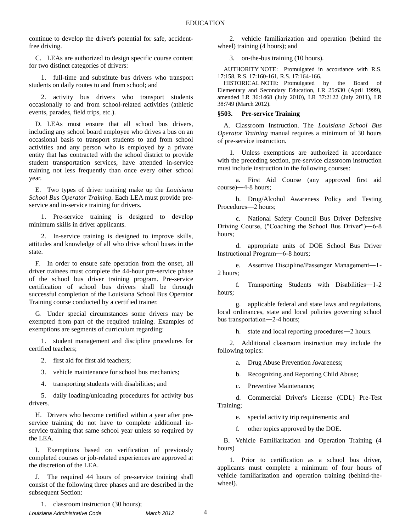continue to develop the driver's potential for safe, accidentfree driving.

C. LEAs are authorized to design specific course content for two distinct categories of drivers:

1. full-time and substitute bus drivers who transport students on daily routes to and from school; and

2. activity bus drivers who transport students occasionally to and from school-related activities (athletic events, parades, field trips, etc.).

D. LEAs must ensure that all school bus drivers, including any school board employee who drives a bus on an occasional basis to transport students to and from school activities and any person who is employed by a private entity that has contracted with the school district to provide student transportation services, have attended in-service training not less frequently than once every other school year.

E. Two types of driver training make up the *Louisiana School Bus Operator Training*. Each LEA must provide preservice and in-service training for drivers.

1. Pre-service training is designed to develop minimum skills in driver applicants.

2. In-service training is designed to improve skills, attitudes and knowledge of all who drive school buses in the state.

F. In order to ensure safe operation from the onset, all driver trainees must complete the 44-hour pre-service phase of the school bus driver training program. Pre-service certification of school bus drivers shall be through successful completion of the Louisiana School Bus Operator Training course conducted by a certified trainer.

G. Under special circumstances some drivers may be exempted from part of the required training. Examples of exemptions are segments of curriculum regarding:

1. student management and discipline procedures for certified teachers;

2. first aid for first aid teachers;

3. vehicle maintenance for school bus mechanics;

4. transporting students with disabilities; and

5. daily loading/unloading procedures for activity bus drivers.

H. Drivers who become certified within a year after preservice training do not have to complete additional inservice training that same school year unless so required by the LEA.

I. Exemptions based on verification of previously completed courses or job-related experiences are approved at the discretion of the LEA.

J. The required 44 hours of pre-service training shall consist of the following three phases and are described in the subsequent Section:

2. vehicle familiarization and operation (behind the wheel) training (4 hours); and

3. on-the-bus training (10 hours).

AUTHORITY NOTE: Promulgated in accordance with R.S. 17:158, R.S. 17:160-161, R.S. 17:164-166.

HISTORICAL NOTE: Promulgated by the Board of Elementary and Secondary Education, LR 25:630 (April 1999), amended LR 36:1468 (July 2010), LR 37:2122 (July 2011), LR 38:749 (March 2012).

### <span id="page-5-0"></span>**§503. Pre-service Training**

A. Classroom Instruction. The *Louisiana School Bus Operator Training* manual requires a minimum of 30 hours of pre-service instruction.

1. Unless exemptions are authorized in accordance with the preceding section, pre-service classroom instruction must include instruction in the following courses:

a. First Aid Course (any approved first aid course)―4-8 hours;

b. Drug/Alcohol Awareness Policy and Testing Procedures―2 hours;

c. National Safety Council Bus Driver Defensive Driving Course, ("Coaching the School Bus Driver")―6-8 hours;

d. appropriate units of DOE School Bus Driver Instructional Program―6-8 hours;

e. Assertive Discipline/Passenger Management―1- 2 hours;

f. Transporting Students with Disabilities―1-2 hours;

g. applicable federal and state laws and regulations, local ordinances, state and local policies governing school bus transportation―2-4 hours;

h. state and local reporting procedures—2 hours.

2. Additional classroom instruction may include the following topics:

a. Drug Abuse Prevention Awareness;

b. Recognizing and Reporting Child Abuse;

c. Preventive Maintenance;

d. Commercial Driver's License (CDL) Pre-Test Training;

e. special activity trip requirements; and

f. other topics approved by the DOE.

B. Vehicle Familiarization and Operation Training (4 hours)

1. Prior to certification as a school bus driver, applicants must complete a minimum of four hours of vehicle familiarization and operation training (behind-thewheel).

1. classroom instruction (30 hours);

*Louisiana Administrative Code March 2012* 4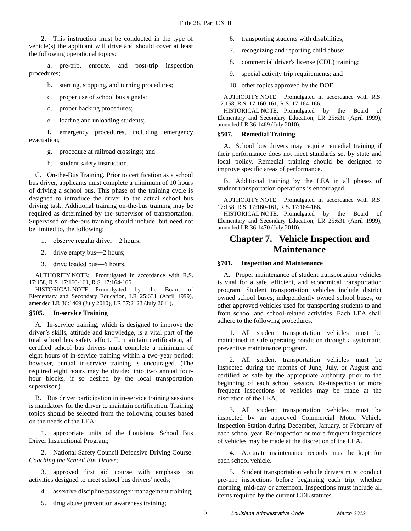2. This instruction must be conducted in the type of vehicle(s) the applicant will drive and should cover at least the following operational topics:

a. pre-trip, enroute, and post-trip inspection procedures;

- b. starting, stopping, and turning procedures;
- c. proper use of school bus signals;
- d. proper backing procedures;
- e. loading and unloading students;

f. emergency procedures, including emergency evacuation;

- g. procedure at railroad crossings; and
	- h. student safety instruction.

C. On-the-Bus Training. Prior to certification as a school bus driver, applicants must complete a minimum of 10 hours of driving a school bus. This phase of the training cycle is designed to introduce the driver to the actual school bus driving task. Additional training on-the-bus training may be required as determined by the supervisor of transportation. Supervised on-the-bus training should include, but need not be limited to, the following:

- 1. observe regular driver―2 hours;
- 2. drive empty bus―2 hours;
- 3. drive loaded bus―6 hours.

AUTHORITY NOTE: Promulgated in accordance with R.S. 17:158, R.S. 17:160-161, R.S. 17:164-166.

HISTORICAL NOTE: Promulgated by the Board of Elementary and Secondary Education, LR 25:631 (April 1999), amended LR 36:1469 (July 2010), LR 37:2123 (July 2011).

### <span id="page-6-0"></span>**§505. In-service Training**

A. In-service training, which is designed to improve the driver's skills, attitude and knowledge, is a vital part of the total school bus safety effort. To maintain certification, all certified school bus drivers must complete a minimum of eight hours of in-service training within a two-year period; however, annual in-service training is encouraged. (The required eight hours may be divided into two annual fourhour blocks, if so desired by the local transportation supervisor.)

B. Bus driver participation in in-service training sessions is mandatory for the driver to maintain certification. Training topics should be selected from the following courses based on the needs of the LEA:

1. appropriate units of the Louisiana School Bus Driver Instructional Program;

2. National Safety Council Defensive Driving Course: *Coaching the School Bus Driver*;

3. approved first aid course with emphasis on activities designed to meet school bus drivers' needs;

- 4. assertive discipline/passenger management training;
- 5. drug abuse prevention awareness training;
- 6. transporting students with disabilities;
- 7. recognizing and reporting child abuse;
- 8. commercial driver's license (CDL) training;
- 9. special activity trip requirements; and
- 10. other topics approved by the DOE.

AUTHORITY NOTE: Promulgated in accordance with R.S. 17:158, R.S. 17:160-161, R.S. 17:164-166.

HISTORICAL NOTE: Promulgated by the Board of Elementary and Secondary Education, LR 25:631 (April 1999), amended LR 36:1469 (July 2010).

### <span id="page-6-1"></span>**§507. Remedial Training**

A. School bus drivers may require remedial training if their performance does not meet standards set by state and local policy. Remedial training should be designed to improve specific areas of performance.

B. Additional training by the LEA in all phases of student transportation operations is encouraged.

AUTHORITY NOTE: Promulgated in accordance with R.S. 17:158, R.S. 17:160-161, R.S. 17:164-166.

HISTORICAL NOTE: Promulgated by the Board of Elementary and Secondary Education, LR 25:631 (April 1999), amended LR 36:1470 (July 2010).

### <span id="page-6-2"></span>**Chapter 7. Vehicle Inspection and Maintenance**

#### <span id="page-6-3"></span>**§701. Inspection and Maintenance**

A. Proper maintenance of student transportation vehicles is vital for a safe, efficient, and economical transportation program. Student transportation vehicles include district owned school buses, independently owned school buses, or other approved vehicles used for transporting students to and from school and school-related activities. Each LEA shall adhere to the following procedures.

1. All student transportation vehicles must be maintained in safe operating condition through a systematic preventive maintenance program.

2. All student transportation vehicles must be inspected during the months of June, July, or August and certified as safe by the appropriate authority prior to the beginning of each school session. Re-inspection or more frequent inspections of vehicles may be made at the discretion of the LEA.

3. All student transportation vehicles must be inspected by an approved Commercial Motor Vehicle Inspection Station during December, January, or February of each school year. Re-inspection or more frequent inspections of vehicles may be made at the discretion of the LEA.

4. Accurate maintenance records must be kept for each school vehicle.

5. Student transportation vehicle drivers must conduct pre-trip inspections before beginning each trip, whether morning, mid-day or afternoon. Inspections must include all items required by the current CDL statutes.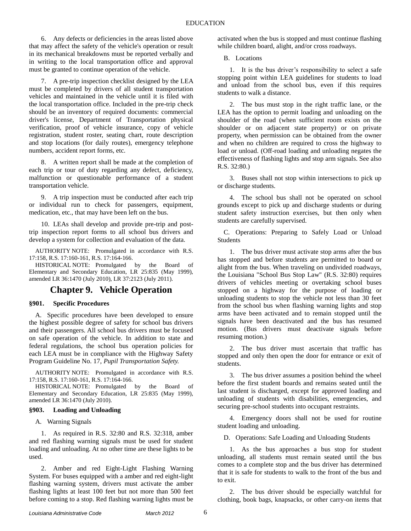6. Any defects or deficiencies in the areas listed above that may affect the safety of the vehicle's operation or result in its mechanical breakdowns must be reported verbally and in writing to the local transportation office and approval must be granted to continue operation of the vehicle.

7. A pre-trip inspection checklist designed by the LEA must be completed by drivers of all student transportation vehicles and maintained in the vehicle until it is filed with the local transportation office. Included in the pre-trip check should be an inventory of required documents: commercial driver's license, Department of Transportation physical verification, proof of vehicle insurance, copy of vehicle registration, student roster, seating chart, route description and stop locations (for daily routes), emergency telephone numbers, accident report forms, etc.

8. A written report shall be made at the completion of each trip or tour of duty regarding any defect, deficiency, malfunction or questionable performance of a student transportation vehicle.

9. A trip inspection must be conducted after each trip or individual run to check for passengers, equipment, medication, etc., that may have been left on the bus.

10. LEAs shall develop and provide pre-trip and posttrip inspection report forms to all school bus drivers and develop a system for collection and evaluation of the data.

AUTHORITY NOTE: Promulgated in accordance with R.S. 17:158, R.S. 17:160-161, R.S. 17:164-166.

HISTORICAL NOTE: Promulgated by the Board of Elementary and Secondary Education, LR 25:835 (May 1999), amended LR 36:1470 (July 2010), LR 37:2123 (July 2011).

### **Chapter 9. Vehicle Operation**

### <span id="page-7-1"></span><span id="page-7-0"></span>**§901. Specific Procedures**

A. Specific procedures have been developed to ensure the highest possible degree of safety for school bus drivers and their passengers. All school bus drivers must be focused on safe operation of the vehicle. In addition to state and federal regulations, the school bus operation policies for each LEA must be in compliance with the Highway Safety Program Guideline No. 17, *Pupil Transportation Safety.*

AUTHORITY NOTE: Promulgated in accordance with R.S. 17:158, R.S. 17:160-161, R.S. 17:164-166.

HISTORICAL NOTE: Promulgated by the Board of Elementary and Secondary Education, LR 25:835 (May 1999), amended LR 36:1470 (July 2010).

### <span id="page-7-2"></span>**§903. Loading and Unloading**

A. Warning Signals

1. As required in R.S. 32:80 and R.S. 32:318, amber and red flashing warning signals must be used for student loading and unloading. At no other time are these lights to be used.

2. Amber and red Eight-Light Flashing Warning System. For buses equipped with a amber and red eight-light flashing warning system, drivers must activate the amber flashing lights at least 100 feet but not more than 500 feet before coming to a stop. Red flashing warning lights must be

activated when the bus is stopped and must continue flashing while children board, alight, and/or cross roadways.

B. Locations

1. It is the bus driver's responsibility to select a safe stopping point within LEA guidelines for students to load and unload from the school bus, even if this requires students to walk a distance.

2. The bus must stop in the right traffic lane, or the LEA has the option to permit loading and unloading on the shoulder of the road (when sufficient room exists on the shoulder or on adjacent state property) or on private property, when permission can be obtained from the owner and when no children are required to cross the highway to load or unload. (Off-road loading and unloading negates the effectiveness of flashing lights and stop arm signals. See also R.S. 32:80.)

3. Buses shall not stop within intersections to pick up or discharge students.

4. The school bus shall not be operated on school grounds except to pick up and discharge students or during student safety instruction exercises, but then only when students are carefully supervised.

C. Operations: Preparing to Safely Load or Unload Students

1. The bus driver must activate stop arms after the bus has stopped and before students are permitted to board or alight from the bus. When traveling on undivided roadways, the Louisiana "School Bus Stop Law" (R.S. 32:80) requires drivers of vehicles meeting or overtaking school buses stopped on a highway for the purpose of loading or unloading students to stop the vehicle not less than 30 feet from the school bus when flashing warning lights and stop arms have been activated and to remain stopped until the signals have been deactivated and the bus has resumed motion. (Bus drivers must deactivate signals before resuming motion.)

2. The bus driver must ascertain that traffic has stopped and only then open the door for entrance or exit of students.

3. The bus driver assumes a position behind the wheel before the first student boards and remains seated until the last student is discharged, except for approved loading and unloading of students with disabilities, emergencies, and securing pre-school students into occupant restraints.

4. Emergency doors shall not be used for routine student loading and unloading.

D. Operations: Safe Loading and Unloading Students

1. As the bus approaches a bus stop for student unloading, all students must remain seated until the bus comes to a complete stop and the bus driver has determined that it is safe for students to walk to the front of the bus and to exit.

2. The bus driver should be especially watchful for clothing, book bags, knapsacks, or other carry-on items that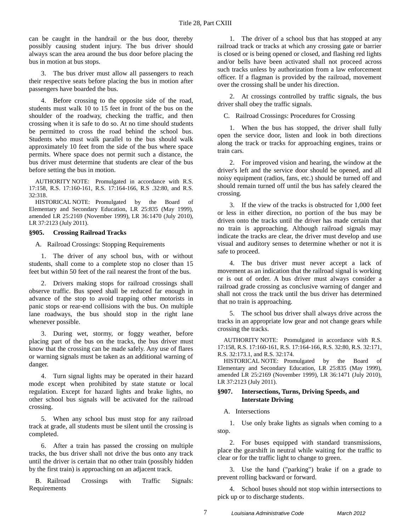can be caught in the handrail or the bus door, thereby possibly causing student injury. The bus driver should always scan the area around the bus door before placing the bus in motion at bus stops.

3. The bus driver must allow all passengers to reach their respective seats before placing the bus in motion after passengers have boarded the bus.

4. Before crossing to the opposite side of the road, students must walk 10 to 15 feet in front of the bus on the shoulder of the roadway, checking the traffic, and then crossing when it is safe to do so. At no time should students be permitted to cross the road behind the school bus. Students who must walk parallel to the bus should walk approximately 10 feet from the side of the bus where space permits. Where space does not permit such a distance, the bus driver must determine that students are clear of the bus before setting the bus in motion.

AUTHORITY NOTE: Promulgated in accordance with R.S. 17:158, R.S. 17:160-161, R.S. 17:164-166, R.S .32:80, and R.S. 32:318.

HISTORICAL NOTE: Promulgated by the Board of Elementary and Secondary Education, LR 25:835 (May 1999), amended LR 25:2169 (November 1999), LR 36:1470 (July 2010), LR 37:2123 (July 2011).

### <span id="page-8-0"></span>**§905. Crossing Railroad Tracks**

A. Railroad Crossings: Stopping Requirements

1. The driver of any school bus, with or without students, shall come to a complete stop no closer than 15 feet but within 50 feet of the rail nearest the front of the bus.

2. Drivers making stops for railroad crossings shall observe traffic. Bus speed shall be reduced far enough in advance of the stop to avoid trapping other motorists in panic stops or rear-end collisions with the bus. On multiple lane roadways, the bus should stop in the right lane whenever possible.

3. During wet, stormy, or foggy weather, before placing part of the bus on the tracks, the bus driver must know that the crossing can be made safely. Any use of flares or warning signals must be taken as an additional warning of danger.

4. Turn signal lights may be operated in their hazard mode except when prohibited by state statute or local regulation. Except for hazard lights and brake lights, no other school bus signals will be activated for the railroad crossing.

5. When any school bus must stop for any railroad track at grade, all students must be silent until the crossing is completed.

6. After a train has passed the crossing on multiple tracks, the bus driver shall not drive the bus onto any track until the driver is certain that no other train (possibly hidden by the first train) is approaching on an adjacent track.

B. Railroad Crossings with Traffic Signals: Requirements

1. The driver of a school bus that has stopped at any railroad track or tracks at which any crossing gate or barrier is closed or is being opened or closed, and flashing red lights and/or bells have been activated shall not proceed across such tracks unless by authorization from a law enforcement officer. If a flagman is provided by the railroad, movement over the crossing shall be under his direction.

2. At crossings controlled by traffic signals, the bus driver shall obey the traffic signals.

C. Railroad Crossings: Procedures for Crossing

1. When the bus has stopped, the driver shall fully open the service door, listen and look in both directions along the track or tracks for approaching engines, trains or train cars.

2. For improved vision and hearing, the window at the driver's left and the service door should be opened, and all noisy equipment (radios, fans, etc.) should be turned off and should remain turned off until the bus has safely cleared the crossing.

3. If the view of the tracks is obstructed for 1,000 feet or less in either direction, no portion of the bus may be driven onto the tracks until the driver has made certain that no train is approaching. Although railroad signals may indicate the tracks are clear, the driver must develop and use visual and auditory senses to determine whether or not it is safe to proceed.

4. The bus driver must never accept a lack of movement as an indication that the railroad signal is working or is out of order. A bus driver must always consider a railroad grade crossing as conclusive warning of danger and shall not cross the track until the bus driver has determined that no train is approaching.

5. The school bus driver shall always drive across the tracks in an appropriate low gear and not change gears while crossing the tracks.

AUTHORITY NOTE: Promulgated in accordance with R.S. 17:158, R.S. 17:160-161, R.S. 17:164-166, R.S. 32:80, R.S. 32:171, R.S. 32:173.1, and R.S. 32:174.

HISTORICAL NOTE: Promulgated by the Board of Elementary and Secondary Education, LR 25:835 (May 1999), amended LR 25:2169 (November 1999), LR 36:1471 (July 2010), LR 37:2123 (July 2011).

### <span id="page-8-1"></span>**§907. Intersections, Turns, Driving Speeds, and Interstate Driving**

A. Intersections

1. Use only brake lights as signals when coming to a stop.

2. For buses equipped with standard transmissions, place the gearshift in neutral while waiting for the traffic to clear or for the traffic light to change to green.

3. Use the hand ("parking") brake if on a grade to prevent rolling backward or forward.

4. School buses should not stop within intersections to pick up or to discharge students.

7 *Louisiana Administrative Code March 2012*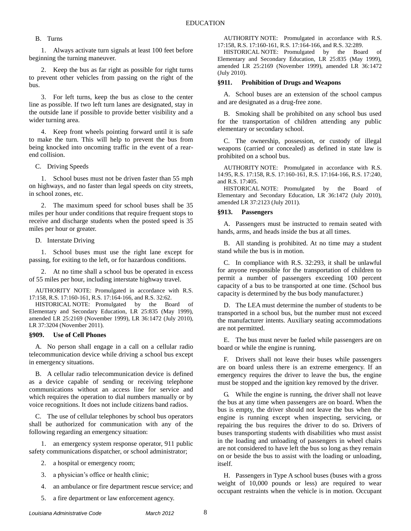### B. Turns

1. Always activate turn signals at least 100 feet before beginning the turning maneuver.

2. Keep the bus as far right as possible for right turns to prevent other vehicles from passing on the right of the bus.

3. For left turns, keep the bus as close to the center line as possible. If two left turn lanes are designated, stay in the outside lane if possible to provide better visibility and a wider turning area.

4. Keep front wheels pointing forward until it is safe to make the turn. This will help to prevent the bus from being knocked into oncoming traffic in the event of a rearend collision.

C. Driving Speeds

1. School buses must not be driven faster than 55 mph on highways, and no faster than legal speeds on city streets, in school zones, etc.

2. The maximum speed for school buses shall be 35 miles per hour under conditions that require frequent stops to receive and discharge students when the posted speed is 35 miles per hour or greater.

D. Interstate Driving

1. School buses must use the right lane except for passing, for exiting to the left, or for hazardous conditions.

2. At no time shall a school bus be operated in excess of 55 miles per hour, including interstate highway travel.

AUTHORITY NOTE: Promulgated in accordance with R.S. 17:158, R.S. 17:160-161, R.S. 17:164-166, and R.S. 32:62.

HISTORICAL NOTE: Promulgated by the Board of Elementary and Secondary Education, LR 25:835 (May 1999), amended LR 25:2169 (November 1999), LR 36:1472 (July 2010), LR 37:3204 (November 2011).

### <span id="page-9-0"></span>**§909. Use of Cell Phones**

A. No person shall engage in a call on a cellular radio telecommunication device while driving a school bus except in emergency situations.

B. A cellular radio telecommunication device is defined as a device capable of sending or receiving telephone communications without an access line for service and which requires the operation to dial numbers manually or by voice recognitions. It does not include citizens band radios.

C. The use of cellular telephones by school bus operators shall be authorized for communication with any of the following regarding an emergency situation:

1. an emergency system response operator, 911 public safety communications dispatcher, or school administrator;

- 2. a hospital or emergency room;
- 3. a physician's office or health clinic;
- 4. an ambulance or fire department rescue service; and

5. a fire department or law enforcement agency.

AUTHORITY NOTE: Promulgated in accordance with R.S. 17:158, R.S. 17:160-161, R.S. 17:164-166, and R.S. 32:289.

HISTORICAL NOTE: Promulgated by the Board of Elementary and Secondary Education, LR 25:835 (May 1999), amended LR 25:2169 (November 1999), amended LR 36:1472 (July 2010).

### <span id="page-9-1"></span>**§911. Prohibition of Drugs and Weapons**

A. School buses are an extension of the school campus and are designated as a drug-free zone.

B. Smoking shall be prohibited on any school bus used for the transportation of children attending any public elementary or secondary school.

C. The ownership, possession, or custody of illegal weapons (carried or concealed) as defined in state law is prohibited on a school bus.

AUTHORITY NOTE: Promulgated in accordance with R.S. 14:95, R.S. 17:158, R.S. 17:160-161, R.S. 17:164-166, R.S. 17:240, and R.S. 17:405.

HISTORICAL NOTE: Promulgated by the Board of Elementary and Secondary Education, LR 36:1472 (July 2010), amended LR 37:2123 (July 2011).

### <span id="page-9-2"></span>**§913. Passengers**

A. Passengers must be instructed to remain seated with hands, arms, and heads inside the bus at all times.

B. All standing is prohibited. At no time may a student stand while the bus is in motion.

C. In compliance with R.S. 32:293, it shall be unlawful for anyone responsible for the transportation of children to permit a number of passengers exceeding 100 percent capacity of a bus to be transported at one time. (School bus capacity is determined by the bus body manufacturer.)

D. The LEA must determine the number of students to be transported in a school bus, but the number must not exceed the manufacturer intents. Auxiliary seating accommodations are not permitted.

E. The bus must never be fueled while passengers are on board or while the engine is running.

F. Drivers shall not leave their buses while passengers are on board unless there is an extreme emergency. If an emergency requires the driver to leave the bus, the engine must be stopped and the ignition key removed by the driver.

G. While the engine is running, the driver shall not leave the bus at any time when passengers are on board. When the bus is empty, the driver should not leave the bus when the engine is running except when inspecting, servicing, or repairing the bus requires the driver to do so. Drivers of buses transporting students with disabilities who must assist in the loading and unloading of passengers in wheel chairs are not considered to have left the bus so long as they remain on or beside the bus to assist with the loading or unloading, itself.

H. Passengers in Type A school buses (buses with a gross weight of 10,000 pounds or less) are required to wear occupant restraints when the vehicle is in motion. Occupant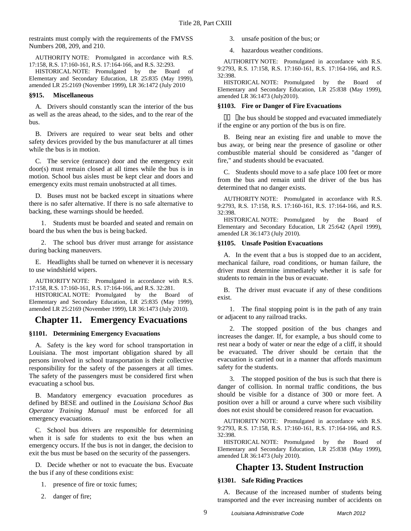restraints must comply with the requirements of the FMVSS Numbers 208, 209, and 210.

AUTHORITY NOTE: Promulgated in accordance with R.S. 17:158, R.S. 17:160-161, R.S. 17:164-166, and R.S. 32:293.

HISTORICAL NOTE: Promulgated by the Board of Elementary and Secondary Education, LR 25:835 (May 1999), amended LR 25:2169 (November 1999), LR 36:1472 (July 2010

### <span id="page-10-0"></span>**§915. Miscellaneous**

A. Drivers should constantly scan the interior of the bus as well as the areas ahead, to the sides, and to the rear of the bus.

B. Drivers are required to wear seat belts and other safety devices provided by the bus manufacturer at all times while the bus is in motion.

C. The service (entrance) door and the emergency exit door(s) must remain closed at all times while the bus is in motion. School bus aisles must be kept clear and doors and emergency exits must remain unobstructed at all times.

D. Buses must not be backed except in situations where there is no safer alternative. If there is no safe alternative to backing, these warnings should be heeded.

1. Students must be boarded and seated and remain on board the bus when the bus is being backed.

2. The school bus driver must arrange for assistance during backing maneuvers.

E. Headlights shall be turned on whenever it is necessary to use windshield wipers.

AUTHORITY NOTE: Promulgated in accordance with R.S. 17:158, R.S. 17:160-161, R.S. 17:164-166, and R.S. 32:281.

HISTORICAL NOTE: Promulgated by the Board of Elementary and Secondary Education, LR 25:835 (May 1999), amended LR 25:2169 (November 1999), LR 36:1473 (July 2010).

### <span id="page-10-1"></span>**Chapter 11. Emergency Evacuations**

### <span id="page-10-2"></span>**§1101. Determining Emergency Evacuations**

A. Safety is the key word for school transportation in Louisiana. The most important obligation shared by all persons involved in school transportation is their collective responsibility for the safety of the passengers at all times. The safety of the passengers must be considered first when evacuating a school bus.

B. Mandatory emergency evacuation procedures as defined by BESE and outlined in the *Louisiana School Bus Operator Training Manual* must be enforced for all emergency evacuations.

C. School bus drivers are responsible for determining when it is safe for students to exit the bus when an emergency occurs. If the bus is not in danger, the decision to exit the bus must be based on the security of the passengers.

D. Decide whether or not to evacuate the bus. Evacuate the bus if any of these conditions exist:

- 1. presence of fire or toxic fumes;
- 2. danger of fire;

3. unsafe position of the bus; or

4. hazardous weather conditions.

AUTHORITY NOTE: Promulgated in accordance with R.S. 9:2793, R.S. 17:158, R.S. 17:160-161, R.S. 17:164-166, and R.S. 32:398.

HISTORICAL NOTE: Promulgated by the Board of Elementary and Secondary Education, LR 25:838 (May 1999), amended LR 36:1473 (July2010).

### <span id="page-10-3"></span>**§1103. Fire or Danger of Fire Evacuations**

 $\Box$   $\Box$  lhe bus should be stopped and evacuated immediately if the engine or any portion of the bus is on fire.

B. Being near an existing fire and unable to move the bus away, or being near the presence of gasoline or other combustible material should be considered as "danger of fire," and students should be evacuated.

C. Students should move to a safe place 100 feet or more from the bus and remain until the driver of the bus has determined that no danger exists.

AUTHORITY NOTE: Promulgated in accordance with R.S. 9:2793, R.S. 17:158, R.S. 17:160-161, R.S. 17:164-166, and R.S. 32:398.

HISTORICAL NOTE: Promulgated by the Board of Elementary and Secondary Education, LR 25:642 (April 1999), amended LR 36:1473 (July 2010).

### <span id="page-10-4"></span>**§1105. Unsafe Position Evacuations**

A. In the event that a bus is stopped due to an accident, mechanical failure, road conditions, or human failure, the driver must determine immediately whether it is safe for students to remain in the bus or evacuate.

B. The driver must evacuate if any of these conditions exist.

1. The final stopping point is in the path of any train or adjacent to any railroad tracks.

2. The stopped position of the bus changes and increases the danger. If, for example, a bus should come to rest near a body of water or near the edge of a cliff, it should be evacuated. The driver should be certain that the evacuation is carried out in a manner that affords maximum safety for the students.

3. The stopped position of the bus is such that there is danger of collision. In normal traffic conditions, the bus should be visible for a distance of 300 or more feet. A position over a hill or around a curve where such visibility does not exist should be considered reason for evacuation.

AUTHORITY NOTE: Promulgated in accordance with R.S. 9:2793, R.S. 17:158, R.S. 17:160-161, R.S. 17:164-166, and R.S. 32:398.

HISTORICAL NOTE: Promulgated by the Board of Elementary and Secondary Education, LR 25:838 (May 1999), amended LR 36:1473 (July 2010).

### **Chapter 13. Student Instruction**

### <span id="page-10-6"></span><span id="page-10-5"></span>**§1301. Safe Riding Practices**

A. Because of the increased number of students being transported and the ever increasing number of accidents on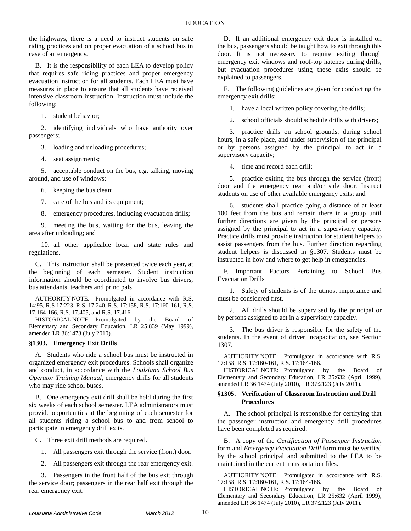the highways, there is a need to instruct students on safe riding practices and on proper evacuation of a school bus in case of an emergency.

B*.* It is the responsibility of each LEA to develop policy that requires safe riding practices and proper emergency evacuation instruction for all students. Each LEA must have measures in place to ensure that all students have received intensive classroom instruction. Instruction must include the following:

1. student behavior;

2. identifying individuals who have authority over passengers;

3. loading and unloading procedures;

4. seat assignments;

5. acceptable conduct on the bus, e.g. talking, moving around, and use of windows;

6. keeping the bus clean;

7. care of the bus and its equipment;

8. emergency procedures, including evacuation drills;

9. meeting the bus, waiting for the bus, leaving the area after unloading; and

10. all other applicable local and state rules and regulations.

C. This instruction shall be presented twice each year, at the beginning of each semester. Student instruction information should be coordinated to involve bus drivers, bus attendants, teachers and principals.

AUTHORITY NOTE: Promulgated in accordance with R.S. 14:95, R.S 17:223, R.S. 17:240, R.S. 17:158, R.S. 17:160-161, R.S. 17:164-166, R.S. 17:405, and R.S. 17:416.

HISTORICAL NOTE: Promulgated by the Board of Elementary and Secondary Education, LR 25:839 (May 1999), amended LR 36:1473 (July 2010).

### <span id="page-11-0"></span>**§1303. Emergency Exit Drills**

A. Students who ride a school bus must be instructed in organized emergency exit procedures. Schools shall organize and conduct, in accordance with the *Louisiana School Bus Operator Training Manual*, emergency drills for all students who may ride school buses.

B. One emergency exit drill shall be held during the first six weeks of each school semester. LEA administrators must provide opportunities at the beginning of each semester for all students riding a school bus to and from school to participate in emergency drill exits.

C. Three exit drill methods are required.

1. All passengers exit through the service (front) door.

2. All passengers exit through the rear emergency exit.

3. Passengers in the front half of the bus exit through the service door; passengers in the rear half exit through the rear emergency exit.

D. If an additional emergency exit door is installed on the bus, passengers should be taught how to exit through this door. It is not necessary to require exiting through emergency exit windows and roof-top hatches during drills, but evacuation procedures using these exits should be explained to passengers.

E. The following guidelines are given for conducting the emergency exit drills:

1. have a local written policy covering the drills;

school officials should schedule drills with drivers;

3. practice drills on school grounds, during school hours, in a safe place, and under supervision of the principal or by persons assigned by the principal to act in a supervisory capacity;

4. time and record each drill;

5. practice exiting the bus through the service (front) door and the emergency rear and/or side door. Instruct students on use of other available emergency exits; and

6. students shall practice going a distance of at least 100 feet from the bus and remain there in a group until further directions are given by the principal or persons assigned by the principal to act in a supervisory capacity. Practice drills must provide instruction for student helpers to assist passengers from the bus. Further direction regarding student helpers is discussed in §1307. Students must be instructed in how and where to get help in emergencies.

F. Important Factors Pertaining to School Bus Evacuation Drills

1. Safety of students is of the utmost importance and must be considered first.

2. All drills should be supervised by the principal or by persons assigned to act in a supervisory capacity.

3. The bus driver is responsible for the safety of the students. In the event of driver incapacitation, see Section 1307.

AUTHORITY NOTE: Promulgated in accordance with R.S. 17:158, R.S. 17:160-161, R.S. 17:164-166.

HISTORICAL NOTE: Promulgated by the Board of Elementary and Secondary Education, LR 25:632 (April 1999), amended LR 36:1474 (July 2010), LR 37:2123 (July 2011).

### <span id="page-11-1"></span>**§1305. Verification of Classroom Instruction and Drill Procedures**

A. The school principal is responsible for certifying that the passenger instruction and emergency drill procedures have been completed as required.

B. A copy of the *Certification of Passenger Instruction* form and *Emergency Evacuation Drill* form must be verified by the school principal and submitted to the LEA to be maintained in the current transportation files.

AUTHORITY NOTE: Promulgated in accordance with R.S. 17:158, R.S. 17:160-161, R.S. 17:164-166.

HISTORICAL NOTE: Promulgated by the Board of Elementary and Secondary Education, LR 25:632 (April 1999), amended LR 36:1474 (July 2010), LR 37:2123 (July 2011).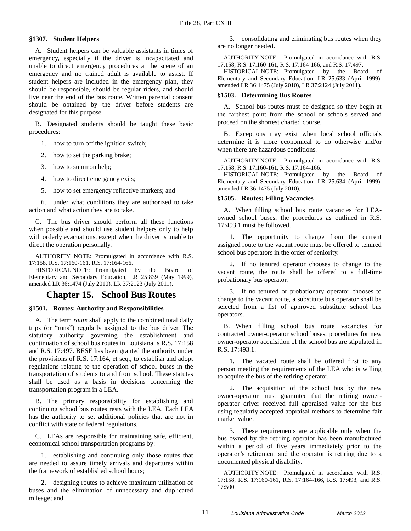### <span id="page-12-0"></span>**§1307. Student Helpers**

A. Student helpers can be valuable assistants in times of emergency, especially if the driver is incapacitated and unable to direct emergency procedures at the scene of an emergency and no trained adult is available to assist. If student helpers are included in the emergency plan, they should be responsible, should be regular riders, and should live near the end of the bus route. Written parental consent should be obtained by the driver before students are designated for this purpose.

B. Designated students should be taught these basic procedures:

- 1. how to turn off the ignition switch;
- 2. how to set the parking brake;
- 3. how to summon help;
- 4. how to direct emergency exits;
- 5. how to set emergency reflective markers; and

6. under what conditions they are authorized to take action and what action they are to take.

C. The bus driver should perform all these functions when possible and should use student helpers only to help with orderly evacuations, except when the driver is unable to direct the operation personally.

AUTHORITY NOTE: Promulgated in accordance with R.S. 17:158, R.S. 17:160-161, R.S. 17:164-166.

HISTORICAL NOTE: Promulgated by the Board of Elementary and Secondary Education, LR 25:839 (May 1999), amended LR 36:1474 (July 2010), LR 37:2123 (July 2011).

### **Chapter 15. School Bus Routes**

### <span id="page-12-2"></span><span id="page-12-1"></span>**§1501. Routes: Authority and Responsibilities**

A. The term *route* shall apply to the combined total daily trips (or "runs") regularly assigned to the bus driver. The statutory authority governing the establishment and continuation of school bus routes in Louisiana is R.S. 17:158 and R.S. 17:497. BESE has been granted the authority under the provisions of R.S. 17:164, et seq., to establish and adopt regulations relating to the operation of school buses in the transportation of students to and from school. These statutes shall be used as a basis in decisions concerning the transportation program in a LEA.

B. The primary responsibility for establishing and continuing school bus routes rests with the LEA. Each LEA has the authority to set additional policies that are not in conflict with state or federal regulations.

C. LEAs are responsible for maintaining safe, efficient, economical school transportation programs by:

1. establishing and continuing only those routes that are needed to assure timely arrivals and departures within the framework of established school hours;

2. designing routes to achieve maximum utilization of buses and the elimination of unnecessary and duplicated mileage; and

3. consolidating and eliminating bus routes when they are no longer needed.

AUTHORITY NOTE: Promulgated in accordance with R.S. 17:158, R.S. 17:160-161, R.S. 17:164-166, and R.S. 17:497.

HISTORICAL NOTE: Promulgated by the Board of Elementary and Secondary Education, LR 25:633 (April 1999), amended LR 36:1475 (July 2010), LR 37:2124 (July 2011).

### <span id="page-12-3"></span>**§1503. Determining Bus Routes**

A. School bus routes must be designed so they begin at the farthest point from the school or schools served and proceed on the shortest charted course.

B. Exceptions may exist when local school officials determine it is more economical to do otherwise and/or when there are hazardous conditions.

AUTHORITY NOTE: Promulgated in accordance with R.S. 17:158, R.S. 17:160-161, R.S. 17:164-166.

HISTORICAL NOTE: Promulgated by the Board of Elementary and Secondary Education, LR 25:634 (April 1999), amended LR 36:1475 (July 2010).

### <span id="page-12-4"></span>**§1505. Routes: Filling Vacancies**

A. When filling school bus route vacancies for LEAowned school buses, the procedures as outlined in R.S. 17:493.1 must be followed.

1. The opportunity to change from the current assigned route to the vacant route must be offered to tenured school bus operators in the order of seniority.

2. If no tenured operator chooses to change to the vacant route, the route shall be offered to a full-time probationary bus operator.

3. If no tenured or probationary operator chooses to change to the vacant route, a substitute bus operator shall be selected from a list of approved substitute school bus operators.

B. When filling school bus route vacancies for contracted owner-operator school buses, procedures for new owner-operator acquisition of the school bus are stipulated in R.S. 17:493.1.

1. The vacated route shall be offered first to any person meeting the requirements of the LEA who is willing to acquire the bus of the retiring operator.

2. The acquisition of the school bus by the new owner-operator must guarantee that the retiring owneroperator driver received full appraised value for the bus using regularly accepted appraisal methods to determine fair market value.

3. These requirements are applicable only when the bus owned by the retiring operator has been manufactured within a period of five years immediately prior to the operator's retirement and the operator is retiring due to a documented physical disability.

AUTHORITY NOTE: Promulgated in accordance with R.S. 17:158, R.S. 17:160-161, R.S. 17:164-166, R.S. 17:493, and R.S. 17:500.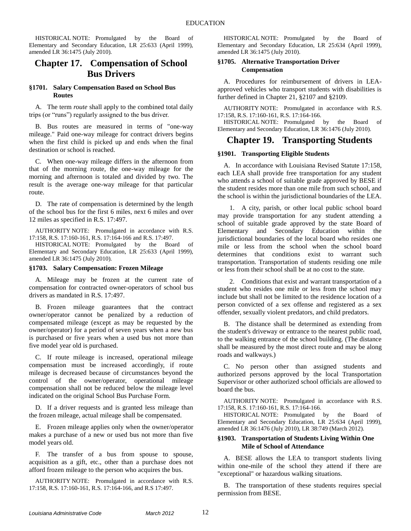HISTORICAL NOTE: Promulgated by the Board of Elementary and Secondary Education, LR 25:633 (April 1999), amended LR 36:1475 (July 2010).

## <span id="page-13-0"></span>**Chapter 17. Compensation of School Bus Drivers**

### <span id="page-13-1"></span>**§1701. Salary Compensation Based on School Bus Routes**

A. The term *route* shall apply to the combined total daily trips (or "runs") regularly assigned to the bus driver.

B. Bus routes are measured in terms of "one-way mileage." Paid one-way mileage for contract drivers begins when the first child is picked up and ends when the final destination or school is reached.

C. When one-way mileage differs in the afternoon from that of the morning route, the one-way mileage for the morning and afternoon is totaled and divided by two. The result is the average one-way mileage for that particular route.

D. The rate of compensation is determined by the length of the school bus for the first 6 miles, next 6 miles and over 12 miles as specified in R.S. 17:497.

AUTHORITY NOTE: Promulgated in accordance with R.S. 17:158, R.S. 17:160-161, R.S. 17:164-166 and R.S. 17:497.

HISTORICAL NOTE: Promulgated by the Board of Elementary and Secondary Education, LR 25:633 (April 1999), amended LR 36:1475 (July 2010).

### <span id="page-13-2"></span>**§1703. Salary Compensation: Frozen Mileage**

A. Mileage may be frozen at the current rate of compensation for contracted owner-operators of school bus drivers as mandated in R.S. 17:497.

B. Frozen mileage guarantees that the contract owner/operator cannot be penalized by a reduction of compensated mileage (except as may be requested by the owner/operator) for a period of seven years when a new bus is purchased or five years when a used bus not more than five model year old is purchased.

C. If route mileage is increased, operational mileage compensation must be increased accordingly, if route mileage is decreased because of circumstances beyond the control of the owner/operator, operational mileage compensation shall not be reduced below the mileage level indicated on the original School Bus Purchase Form.

D. If a driver requests and is granted less mileage than the frozen mileage, actual mileage shall be compensated.

E. Frozen mileage applies only when the owner/operator makes a purchase of a new or used bus not more than five model years old.

F. The transfer of a bus from spouse to spouse, acquisition as a gift, etc., other than a purchase does not afford frozen mileage to the person who acquires the bus.

AUTHORITY NOTE: Promulgated in accordance with R.S. 17:158, R.S. 17:160-161, R.S. 17:164-166, and R.S 17:497.

HISTORICAL NOTE: Promulgated by the Board of Elementary and Secondary Education, LR 25:634 (April 1999), amended LR 36:1475 (July 2010).

### <span id="page-13-3"></span>**§1705. Alternative Transportation Driver Compensation**

A. Procedures for reimbursement of drivers in LEAapproved vehicles who transport students with disabilities is further defined in Chapter 21, §2107 and §2109.

AUTHORITY NOTE: Promulgated in accordance with R.S. 17:158, R.S. 17:160-161, R.S. 17:164-166.

HISTORICAL NOTE: Promulgated by the Board of Elementary and Secondary Education, LR 36:1476 (July 2010).

### <span id="page-13-4"></span>**Chapter 19. Transporting Students**

### <span id="page-13-5"></span>**§1901. Transporting Eligible Students**

A. In accordance with Louisiana Revised Statute 17:158, each LEA shall provide free transportation for any student who attends a school of suitable grade approved by BESE if the student resides more than one mile from such school, and the school is within the jurisdictional boundaries of the LEA.

1. A city, parish, or other local public school board may provide transportation for any student attending a school of suitable grade approved by the state Board of Elementary and Secondary Education within the jurisdictional boundaries of the local board who resides one mile or less from the school when the school board determines that conditions exist to warrant such transportation. Transportation of students residing one mile or less from their school shall be at no cost to the state.

2. Conditions that exist and warrant transportation of a student who resides one mile or less from the school may include but shall not be limited to the residence location of a person convicted of a sex offense and registered as a sex offender, sexually violent predators, and child predators.

B. The distance shall be determined as extending from the student's driveway or entrance to the nearest public road, to the walking entrance of the school building. (The distance shall be measured by the most direct route and may be along roads and walkways.)

C. No person other than assigned students and authorized persons approved by the local Transportation Supervisor or other authorized school officials are allowed to board the bus.

AUTHORITY NOTE: Promulgated in accordance with R.S. 17:158, R.S. 17:160-161, R.S. 17:164-166.

HISTORICAL NOTE: Promulgated by the Board of Elementary and Secondary Education, LR 25:634 (April 1999), amended LR 36:1476 (July 2010), LR 38:749 (March 2012).

### <span id="page-13-6"></span>**§1903. Transportation of Students Living Within One Mile of School of Attendance**

A. BESE allows the LEA to transport students living within one-mile of the school they attend if there are "exceptional" or hazardous walking situations.

B. The transportation of these students requires special permission from BESE.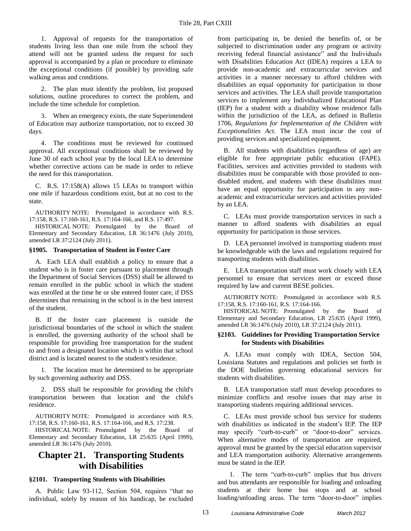1. Approval of requests for the transportation of students living less than one mile from the school they attend will not be granted unless the request for such approval is accompanied by a plan or procedure to eliminate the exceptional conditions (if possible) by providing safe walking areas and conditions.

2. The plan must identify the problem, list proposed solutions, outline procedures to correct the problem, and include the time schedule for completion.

3. When an emergency exists, the state Superintendent of Education may authorize transportation, not to exceed 30 days.

4. The conditions must be reviewed for continued approval. All exceptional conditions shall be reviewed by June 30 of each school year by the local LEA to determine whether corrective actions can be made in order to relieve the need for this transportation.

C. R.S. 17:158(A) allows 15 LEAs to transport within one mile if hazardous conditions exist, but at no cost to the state.

AUTHORITY NOTE: Promulgated in accordance with R.S. 17:158, R.S. 17:160-161, R.S. 17:164-166, and R.S. 17:497.

HISTORICAL NOTE: Promulgated by the Board Elementary and Secondary Education, LR 36:1476 (July 2010), amended LR 37:2124 (July 2011).

### <span id="page-14-0"></span>**§1905. Transportation of Student in Foster Care**

A. Each LEA shall establish a policy to ensure that a student who is in foster care pursuant to placement through the Department of Social Services (DSS) shall be allowed to remain enrolled in the public school in which the student was enrolled at the time he or she entered foster care, if DSS determines that remaining in the school is in the best interest of the student.

B. If the foster care placement is outside the jurisdictional boundaries of the school in which the student is enrolled, the governing authority of the school shall be responsible for providing free transportation for the student to and from a designated location which is within that school district and is located nearest to the student's residence.

1. The location must be determined to be appropriate by such governing authority and DSS.

2. DSS shall be responsible for providing the child's transportation between that location and the child's residence.

AUTHORITY NOTE: Promulgated in accordance with R.S. 17:158, R.S. 17:160-161, R.S. 17:164-166, and R.S. 17:238.

HISTORICAL NOTE: Promulgated by the Board of Elementary and Secondary Education, LR 25:635 (April 1999), amended LR 36:1476 (July 2010).

## <span id="page-14-1"></span>**Chapter 21. Transporting Students with Disabilities**

#### <span id="page-14-2"></span>**§2101. Transporting Students with Disabilities**

A. Public Law 93-112, Section 504, requires "that no individual, solely by reason of his handicap, be excluded from participating in, be denied the benefits of, or be subjected to discrimination under any program or activity receiving federal financial assistance" and the Individuals with Disabilities Education Act (IDEA) requires a LEA to provide non-academic and extracurricular services and activities in a manner necessary to afford children with disabilities an equal opportunity for participation in those services and activities. The LEA shall provide transportation services to implement any Individualized Educational Plan (IEP) for a student with a disability whose residence falls within the jurisdiction of the LEA, as defined in Bulletin 1706, *Regulations for Implementation of the Children with Exceptionalities Act*. The LEA must incur the cost of providing services and specialized equipment.

B. All students with disabilities (regardless of age) are eligible for free appropriate public education (FAPE). Facilities, services and activities provided to students with disabilities must be comparable with those provided to nondisabled student, and students with these disabilities must have an equal opportunity for participation in any nonacademic and extracurricular services and activities provided by an LEA.

C. LEAs must provide transportation services in such a manner to afford students with disabilities an equal opportunity for participation in those services.

D. LEA personnel involved in transporting students must be knowledgeable with the laws and regulations required for transporting students with disabilities.

E. LEA transportation staff must work closely with LEA personnel to ensure that services meet or exceed those required by law and current BESE policies.

AUTHORITY NOTE: Promulgated in accordance with R.S. 17:158, R.S. 17:160-161, R.S. 17:164-166.

HISTORICAL NOTE: Promulgated by the Board of Elementary and Secondary Education, LR 25:635 (April 1999), amended LR 36:1476 (July 2010), LR 37:2124 (July 2011).

### <span id="page-14-3"></span>**§2103. Guidelines for Providing Transportation Service for Students with Disabilities**

A. LEAs must comply with IDEA, Section 504, Louisiana Statutes and regulations and policies set forth in the DOE bulletins governing educational services for students with disabilities.

B. LEA transportation staff must develop procedures to minimize conflicts and resolve issues that may arise in transporting students requiring additional services.

C. LEAs must provide school bus service for students with disabilities as indicated in the student's IEP. The IEP may specify "curb-to-curb" or "door-to-door" services. When alternative modes of transportation are required, approval must be granted by the special education supervisor and LEA transportation authority. Alternative arrangements must be stated in the IEP.

1. The term "curb-to-curb" implies that bus drivers and bus attendants are responsible for loading and unloading students at their home bus stops and at school loading/unloading areas. The term "door-to-door" implies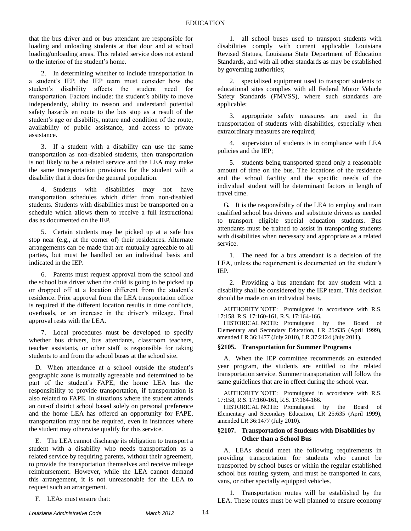that the bus driver and or bus attendant are responsible for loading and unloading students at that door and at school loading/unloading areas. This related service does not extend to the interior of the student's home.

2. In determining whether to include transportation in a student's IEP, the IEP team must consider how the student's disability affects the student need for transportation. Factors include: the student's ability to move independently, ability to reason and understand potential safety hazards en route to the bus stop as a result of the student's age or disability, nature and condition of the route, availability of public assistance, and access to private assistance.

3. If a student with a disability can use the same transportation as non-disabled students, then transportation is not likely to be a related service and the LEA may make the same transportation provisions for the student with a disability that it does for the general population.

4. Students with disabilities may not have transportation schedules which differ from non-disabled students. Students with disabilities must be transported on a schedule which allows them to receive a full instructional das as documented on the IEP.

5. Certain students may be picked up at a safe bus stop near (e.g., at the corner of) their residences. Alternate arrangements can be made that are mutually agreeable to all parties, but must be handled on an individual basis and indicated in the IEP.

6. Parents must request approval from the school and the school bus driver when the child is going to be picked up or dropped off at a location different from the student's residence. Prior approval from the LEA transportation office is required if the different location results in time conflicts, overloads, or an increase in the driver's mileage. Final approval rests with the LEA.

7. Local procedures must be developed to specify whether bus drivers, bus attendants, classroom teachers, teacher assistants, or other staff is responsible for taking students to and from the school buses at the school site.

D. When attendance at a school outside the student's geographic zone is mutually agreeable and determined to be part of the student's FAPE, the home LEA has the responsibility to provide transportation, if transportation is also related to FAPE. In situations where the student attends an out-of district school based solely on personal preference and the home LEA has offered an opportunity for FAPE, transportation may not be required, even in instances where the student may otherwise qualify for this service.

E. The LEA cannot discharge its obligation to transport a student with a disability who needs transportation as a related service by requiring parents, without their agreement, to provide the transportation themselves and receive mileage reimbursement. However, while the LEA cannot demand this arrangement, it is not unreasonable for the LEA to request such an arrangement.

F. LEAs must ensure that:

1. all school buses used to transport students with disabilities comply with current applicable Louisiana Revised Statues, Louisiana State Department of Education Standards, and with all other standards as may be established by governing authorities;

2. specialized equipment used to transport students to educational sites complies with all Federal Motor Vehicle Safety Standards (FMVSS), where such standards are applicable;

3. appropriate safety measures are used in the transportation of students with disabilities, especially when extraordinary measures are required;

4. supervision of students is in compliance with LEA policies and the IEP;

5. students being transported spend only a reasonable amount of time on the bus. The locations of the residence and the school facility and the specific needs of the individual student will be determinant factors in length of travel time.

G. It is the responsibility of the LEA to employ and train qualified school bus drivers and substitute drivers as needed to transport eligible special education students. Bus attendants must be trained to assist in transporting students with disabilities when necessary and appropriate as a related service.

1. The need for a bus attendant is a decision of the LEA, unless the requirement is documented on the student's IEP.

2. Providing a bus attendant for any student with a disability shall be considered by the IEP team. This decision should be made on an individual basis.

AUTHORITY NOTE: Promulgated in accordance with R.S. 17:158, R.S. 17:160-161, R.S. 17:164-166.

HISTORICAL NOTE: Promulgated by the Board of Elementary and Secondary Education, LR 25:635 (April 1999), amended LR 36:1477 (July 2010), LR 37:2124 (July 2011).

### <span id="page-15-0"></span>**§2105. Transportation for Summer Programs**

A. When the IEP committee recommends an extended year program, the students are entitled to the related transportation service. Summer transportation will follow the same guidelines that are in effect during the school year.

AUTHORITY NOTE: Promulgated in accordance with R.S. 17:158, R.S. 17:160-161, R.S. 17:164-166.

HISTORICAL NOTE: Promulgated by the Board of Elementary and Secondary Education, LR 25:635 (April 1999), amended LR 36:1477 (July 2010).

### <span id="page-15-1"></span>**§2107. Transportation of Students with Disabilities by Other than a School Bus**

A. LEAs should meet the following requirements in providing transportation for students who cannot be transported by school buses or within the regular established school bus routing system, and must be transported in cars, vans, or other specially equipped vehicles.

1. Transportation routes will be established by the LEA. These routes must be well planned to ensure economy

*Louisiana Administrative Code March 2012* 14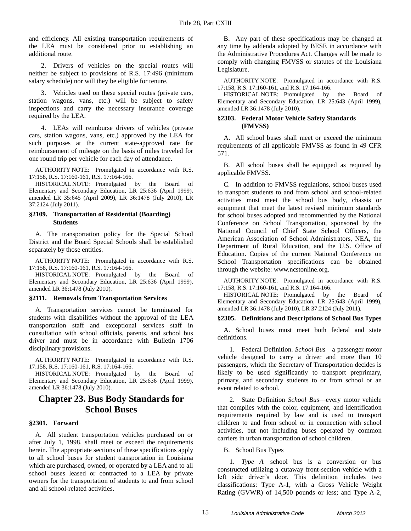and efficiency. All existing transportation requirements of the LEA must be considered prior to establishing an additional route.

2. Drivers of vehicles on the special routes will neither be subject to provisions of R.S. 17:496 (minimum salary schedule) nor will they be eligible for tenure.

3. Vehicles used on these special routes (private cars, station wagons, vans, etc.) will be subject to safety inspections and carry the necessary insurance coverage required by the LEA.

4. LEAs will reimburse drivers of vehicles (private cars, station wagons, vans, etc.) approved by the LEA for such purposes at the current state-approved rate for reimbursement of mileage on the basis of miles traveled for one round trip per vehicle for each day of attendance.

AUTHORITY NOTE: Promulgated in accordance with R.S. 17:158, R.S. 17:160-161, R.S. 17:164-166.

HISTORICAL NOTE: Promulgated by the Board of Elementary and Secondary Education, LR 25:636 (April 1999), amended LR 35:645 (April 2009), LR 36:1478 (July 2010), LR 37:2124 (July 2011).

### <span id="page-16-0"></span>**§2109. Transportation of Residential (Boarding) Students**

A. The transportation policy for the Special School District and the Board Special Schools shall be established separately by those entities.

AUTHORITY NOTE: Promulgated in accordance with R.S. 17:158, R.S. 17:160-161, R.S. 17:164-166.

HISTORICAL NOTE: Promulgated by the Board of Elementary and Secondary Education, LR 25:636 (April 1999), amended LR 36:1478 (July 2010).

### <span id="page-16-1"></span>**§2111. Removals from Transportation Services**

A. Transportation services cannot be terminated for students with disabilities without the approval of the LEA transportation staff and exceptional services staff in consultation with school officials, parents, and school bus driver and must be in accordance with Bulletin 1706 disciplinary provisions.

AUTHORITY NOTE: Promulgated in accordance with R.S. 17:158, R.S. 17:160-161, R.S. 17:164-166.

HISTORICAL NOTE: Promulgated by the Board of Elementary and Secondary Education, LR 25:636 (April 1999), amended LR 36:1478 (July 2010).

## <span id="page-16-2"></span>**Chapter 23. Bus Body Standards for School Buses**

### <span id="page-16-3"></span>**§2301. Forward**

A. All student transportation vehicles purchased on or after July 1, 1998, shall meet or exceed the requirements herein. The appropriate sections of these specifications apply to all school buses for student transportation in Louisiana which are purchased, owned, or operated by a LEA and to all school buses leased or contracted to a LEA by private owners for the transportation of students to and from school and all school-related activities.

B. Any part of these specifications may be changed at any time by addenda adopted by BESE in accordance with the Administrative Procedures Act. Changes will be made to comply with changing FMVSS or statutes of the Louisiana Legislature.

AUTHORITY NOTE: Promulgated in accordance with R.S. 17:158, R.S. 17:160-161, and R.S. 17:164-166.

HISTORICAL NOTE: Promulgated by the Board of Elementary and Secondary Education, LR 25:643 (April 1999), amended LR 36:1478 (July 2010).

### <span id="page-16-4"></span>**§2303. Federal Motor Vehicle Safety Standards (FMVSS)**

A. All school buses shall meet or exceed the minimum requirements of all applicable FMVSS as found in 49 CFR 571.

B. All school buses shall be equipped as required by applicable FMVSS.

C. In addition to FMVSS regulations, school buses used to transport students to and from school and school-related activities must meet the school bus body, chassis or equipment that meet the latest revised minimum standards for school buses adopted and recommended by the National Conference on School Transportation, sponsored by the National Council of Chief State School Officers, the American Association of School Administrators, NEA, the Department of Rural Education, and the U.S. Office of Education. Copies of the current National Conference on School Transportation specifications can be obtained through the website: www.ncstonline.org.

AUTHORITY NOTE: Promulgated in accordance with R.S. 17:158, R.S. 17:160-161, and R.S. 17:164-166.

HISTORICAL NOTE: Promulgated by the Board of Elementary and Secondary Education, LR 25:643 (April 1999), amended LR 36:1478 (July 2010), LR 37:2124 (July 2011).

<span id="page-16-5"></span>**§2305. Definitions and Descriptions of School Bus Types**

A. School buses must meet both federal and state definitions.

1. Federal Definition. *School Bus*—a passenger motor vehicle designed to carry a driver and more than 10 passengers, which the Secretary of Transportation decides is likely to be used significantly to transport preprimary, primary, and secondary students to or from school or an event related to school.

2. State Definition *School Bus*—every motor vehicle that complies with the color, equipment, and identification requirements required by law and is used to transport children to and from school or in connection with school activities, but not including buses operated by common carriers in urban transportation of school children.

B. School Bus Types

1. *Type A*—school bus is a conversion or bus constructed utilizing a cutaway front-section vehicle with a left side driver's door. This definition includes two classifications: Type A-1, with a Gross Vehicle Weight Rating (GVWR) of 14,500 pounds or less; and Type A-2,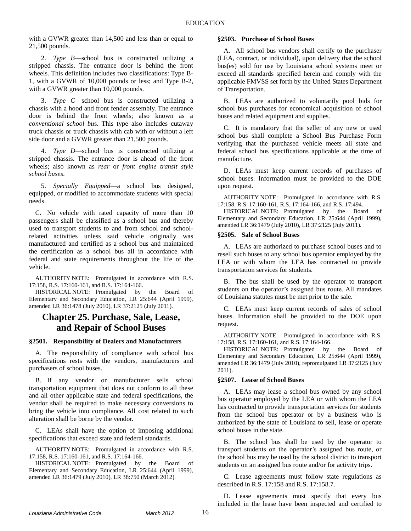with a GVWR greater than 14,500 and less than or equal to 21,500 pounds.

2. *Type B*—school bus is constructed utilizing a stripped chassis. The entrance door is behind the front wheels. This definition includes two classifications: Type B-1, with a GVWR of 10,000 pounds or less; and Type B-2, with a GVWR greater than 10,000 pounds.

3. *Type C*—school bus is constructed utilizing a chassis with a hood and front fender assembly. The entrance door is behind the front wheels; also known as a *conventional school bu*s. This type also includes cutaway truck chassis or truck chassis with cab with or without a left side door and a GVWR greater than 21,500 pounds.

4. *Type D*—school bus is constructed utilizing a stripped chassis. The entrance door is ahead of the front wheels; also known as *rear* or *front engine transit style school buses*.

5. *Specially Equipped*—a school bus designed, equipped, or modified to accommodate students with special needs.

C. No vehicle with rated capacity of more than 10 passengers shall be classified as a school bus and thereby used to transport students to and from school and schoolrelated activities unless said vehicle originally was manufactured and certified as a school bus and maintained the certification as a school bus all in accordance with federal and state requirements throughout the life of the vehicle.

AUTHORITY NOTE: Promulgated in accordance with R.S. 17:158, R.S. 17:160-161, and R.S. 17:164-166.

HISTORICAL NOTE: Promulgated by the Board of Elementary and Secondary Education, LR 25:644 (April 1999), amended LR 36:1478 (July 2010), LR 37:2125 (July 2011).

### <span id="page-17-0"></span>**Chapter 25. Purchase, Sale, Lease, and Repair of School Buses**

### <span id="page-17-1"></span>**§2501. Responsibility of Dealers and Manufacturers**

A. The responsibility of compliance with school bus specifications rests with the vendors, manufacturers and purchasers of school buses.

B. If any vendor or manufacturer sells school transportation equipment that does not conform to all these and all other applicable state and federal specifications, the vendor shall be required to make necessary conversions to bring the vehicle into compliance. All cost related to such alteration shall be borne by the vendor.

C. LEAs shall have the option of imposing additional specifications that exceed state and federal standards.

AUTHORITY NOTE: Promulgated in accordance with R.S. 17:158, R.S. 17:160-161, and R.S. 17:164-166.

HISTORICAL NOTE: Promulgated by the Board of Elementary and Secondary Education, LR 25:644 (April 1999), amended LR 36:1479 (July 2010), LR 38:750 (March 2012).

### <span id="page-17-2"></span>**§2503. Purchase of School Buses**

A. All school bus vendors shall certify to the purchaser (LEA, contract, or individual), upon delivery that the school bus(es) sold for use by Louisiana school systems meet or exceed all standards specified herein and comply with the applicable FMVSS set forth by the United States Department of Transportation.

B. LEAs are authorized to voluntarily pool bids for school bus purchases for economical acquisition of school buses and related equipment and supplies.

C. It is mandatory that the seller of any new or used school bus shall complete a School Bus Purchase Form verifying that the purchased vehicle meets all state and federal school bus specifications applicable at the time of manufacture.

D. LEAs must keep current records of purchases of school buses. Information must be provided to the DOE upon request.

AUTHORITY NOTE: Promulgated in accordance with R.S. 17:158, R.S. 17:160-161, R.S. 17:164-166, and R.S. 17:494.

HISTORICAL NOTE: Promulgated by the Board of Elementary and Secondary Education, LR 25:644 (April 1999), amended LR 36:1479 (July 2010), LR 37:2125 (July 2011).

### <span id="page-17-3"></span>**§2505. Sale of School Buses**

A. LEAs are authorized to purchase school buses and to resell such buses to any school bus operator employed by the LEA or with whom the LEA has contracted to provide transportation services for students.

B. The bus shall be used by the operator to transport students on the operator's assigned bus route. All mandates of Louisiana statutes must be met prior to the sale.

C. LEAs must keep current records of sales of school buses. Information shall be provided to the DOE upon request.

AUTHORITY NOTE: Promulgated in accordance with R.S. 17:158, R.S. 17:160-161, and R.S. 17:164-166.

HISTORICAL NOTE: Promulgated by the Board of Elementary and Secondary Education, LR 25:644 (April 1999), amended LR 36:1479 (July 2010), repromulgated LR 37:2125 (July 2011).

### <span id="page-17-4"></span>**§2507. Lease of School Buses**

A. LEAs may lease a school bus owned by any school bus operator employed by the LEA or with whom the LEA has contracted to provide transportation services for students from the school bus operator or by a business who is authorized by the state of Louisiana to sell, lease or operate school buses in the state.

B. The school bus shall be used by the operator to transport students on the operator's assigned bus route, or the school bus may be used by the school district to transport students on an assigned bus route and/or for activity trips.

C. Lease agreements must follow state regulations as described in R.S. 17:158 and R.S. 17:158.7.

D. Lease agreements must specify that every bus included in the lease have been inspected and certified to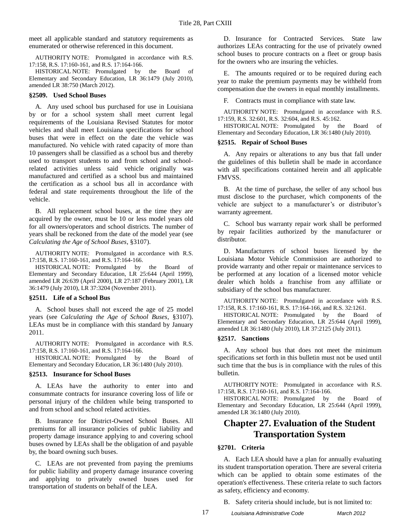meet all applicable standard and statutory requirements as enumerated or otherwise referenced in this document.

AUTHORITY NOTE: Promulgated in accordance with R.S. 17:158, R.S. 17:160-161, and R.S. 17:164-166.

HISTORICAL NOTE: Promulgated by the Board of Elementary and Secondary Education, LR 36:1479 (July 2010), amended LR 38:750 (March 2012).

#### <span id="page-18-0"></span>**§2509. Used School Buses**

A. Any used school bus purchased for use in Louisiana by or for a school system shall meet current legal requirements of the Louisiana Revised Statutes for motor vehicles and shall meet Louisiana specifications for school buses that were in effect on the date the vehicle was manufactured. No vehicle with rated capacity of more than 10 passengers shall be classified as a school bus and thereby used to transport students to and from school and schoolrelated activities unless said vehicle originally was manufactured and certified as a school bus and maintained the certification as a school bus all in accordance with federal and state requirements throughout the life of the vehicle.

B. All replacement school buses, at the time they are acquired by the owner, must be 10 or less model years old for all owners/operators and school districts. The number of years shall be reckoned from the date of the model year (see *Calculating the Age of School Buses*, §3107).

AUTHORITY NOTE: Promulgated in accordance with R.S. 17:158, R.S. 17:160-161, and R.S. 17:164-166.

HISTORICAL NOTE: Promulgated by the Board of Elementary and Secondary Education, LR 25:644 (April 1999), amended LR 26:639 (April 2000), LR 27:187 (February 2001), LR 36:1479 (July 2010), LR 37:3204 (November 2011).

#### <span id="page-18-1"></span>**§2511. Life of a School Bus**

A. School buses shall not exceed the age of 25 model years (see *Calculating the Age of School Buses*, §3107). LEAs must be in compliance with this standard by January 2011.

AUTHORITY NOTE: Promulgated in accordance with R.S. 17:158, R.S. 17:160-161, and R.S. 17:164-166.

HISTORICAL NOTE: Promulgated by the Board of Elementary and Secondary Education, LR 36:1480 (July 2010).

#### <span id="page-18-2"></span>**§2513. Insurance for School Buses**

A. LEAs have the authority to enter into and consummate contracts for insurance covering loss of life or personal injury of the children while being transported to and from school and school related activities.

B. Insurance for District-Owned School Buses. All premiums for all insurance policies of public liability and property damage insurance applying to and covering school buses owned by LEAs shall be the obligation of and payable by, the board owning such buses.

C. LEAs are not prevented from paying the premiums for public liability and property damage insurance covering and applying to privately owned buses used for transportation of students on behalf of the LEA.

D. Insurance for Contracted Services. State law authorizes LEAs contracting for the use of privately owned school buses to procure contracts on a fleet or group basis for the owners who are insuring the vehicles.

E. The amounts required or to be required during each year to make the premium payments may be withheld from compensation due the owners in equal monthly installments.

F. Contracts must in compliance with state law.

AUTHORITY NOTE: Promulgated in accordance with R.S. 17:159, R.S. 32:601, R.S. 32:604, and R.S. 45:162.

HISTORICAL NOTE: Promulgated by the Board of Elementary and Secondary Education, LR 36:1480 (July 2010).

### <span id="page-18-3"></span>**§2515. Repair of School Buses**

A. Any repairs or alterations to any bus that fall under the guidelines of this bulletin shall be made in accordance with all specifications contained herein and all applicable FMVSS.

B. At the time of purchase, the seller of any school bus must disclose to the purchaser, which components of the vehicle are subject to a manufacturer's or distributor's warranty agreement.

C. School bus warranty repair work shall be performed by repair facilities authorized by the manufacturer or distributor.

D. Manufacturers of school buses licensed by the Louisiana Motor Vehicle Commission are authorized to provide warranty and other repair or maintenance services to be performed at any location of a licensed motor vehicle dealer which holds a franchise from any affiliate or subsidiary of the school bus manufacturer.

AUTHORITY NOTE: Promulgated in accordance with R.S. 17:158, R.S. 17:160-161, R.S. 17:164-166, and R.S. 32:1261.

HISTORICAL NOTE: Promulgated by the Board of Elementary and Secondary Education, LR 25:644 (April 1999), amended LR 36:1480 (July 2010), LR 37:2125 (July 2011).

#### <span id="page-18-4"></span>**§2517. Sanctions**

A. Any school bus that does not meet the minimum specifications set forth in this bulletin must not be used until such time that the bus is in compliance with the rules of this bulletin.

AUTHORITY NOTE: Promulgated in accordance with R.S. 17:158, R.S. 17:160-161, and R.S. 17:164-166.

HISTORICAL NOTE: Promulgated by the Board of Elementary and Secondary Education, LR 25:644 (April 1999), amended LR 36:1480 (July 2010).

## <span id="page-18-5"></span>**Chapter 27. Evaluation of the Student Transportation System**

### <span id="page-18-6"></span>**§2701. Criteria**

A. Each LEA should have a plan for annually evaluating its student transportation operation. There are several criteria which can be applied to obtain some estimates of the operation's effectiveness. These criteria relate to such factors as safety, efficiency and economy.

B. Safety criteria should include, but is not limited to: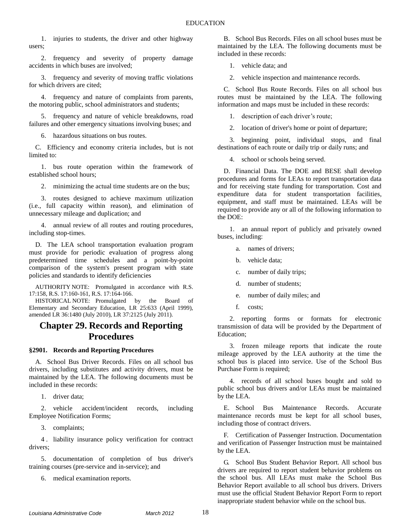1. injuries to students, the driver and other highway users;

2. frequency and severity of property damage accidents in which buses are involved;

3. frequency and severity of moving traffic violations for which drivers are cited;

4. frequency and nature of complaints from parents, the motoring public, school administrators and students;

5. frequency and nature of vehicle breakdowns, road failures and other emergency situations involving buses; and

6. hazardous situations on bus routes.

C. Efficiency and economy criteria includes, but is not limited to:

1. bus route operation within the framework of established school hours;

2. minimizing the actual time students are on the bus;

3. routes designed to achieve maximum utilization (i.e., full capacity within reason), and elimination of unnecessary mileage and duplication; and

4. annual review of all routes and routing procedures, including stop-times.

D. The LEA school transportation evaluation program must provide for periodic evaluation of progress along predetermined time schedules and a point-by-point comparison of the system's present program with state policies and standards to identify deficiencies

AUTHORITY NOTE: Promulgated in accordance with R.S. 17:158, R.S. 17:160-161, R.S. 17:164-166.

HISTORICAL NOTE: Promulgated by the Board of Elementary and Secondary Education, LR 25:633 (April 1999), amended LR 36:1480 (July 2010), LR 37:2125 (July 2011).

## <span id="page-19-0"></span>**Chapter 29. Records and Reporting Procedures**

### <span id="page-19-1"></span>**§2901. Records and Reporting Procedures**

A. School Bus Driver Records. Files on all school bus drivers, including substitutes and activity drivers, must be maintained by the LEA. The following documents must be included in these records:

1. driver data;

2. vehicle accident/incident records, including Employee Notification Forms;

3. complaints;

4 . liability insurance policy verification for contract drivers;

5. documentation of completion of bus driver's training courses (pre-service and in-service); and

6. medical examination reports.

B. School Bus Records. Files on all school buses must be maintained by the LEA. The following documents must be included in these records:

1. vehicle data; and

2. vehicle inspection and maintenance records.

C. School Bus Route Records. Files on all school bus routes must be maintained by the LEA. The following information and maps must be included in these records:

1. description of each driver's route;

2. location of driver's home or point of departure;

3. beginning point, individual stops, and final destinations of each route or daily trip or daily runs; and

4. school or schools being served.

D. Financial Data. The DOE and BESE shall develop procedures and forms for LEAs to report transportation data and for receiving state funding for transportation. Cost and expenditure data for student transportation facilities, equipment, and staff must be maintained. LEAs will be required to provide any or all of the following information to the DOE:

1. an annual report of publicly and privately owned buses, including:

a. names of drivers;

b. vehicle data;

- c. number of daily trips;
- d. number of students;
- e. number of daily miles; and
- f. costs;

2. reporting forms or formats for electronic transmission of data will be provided by the Department of Education;

3. frozen mileage reports that indicate the route mileage approved by the LEA authority at the time the school bus is placed into service. Use of the School Bus Purchase Form is required;

4. records of all school buses bought and sold to public school bus drivers and/or LEAs must be maintained by the LEA.

E. School Bus Maintenance Records. Accurate maintenance records must be kept for all school buses, including those of contract drivers.

F. Certification of Passenger Instruction. Documentation and verification of Passenger Instruction must be maintained by the LEA.

G. School Bus Student Behavior Report. All school bus drivers are required to report student behavior problems on the school bus. All LEAs must make the School Bus Behavior Report available to all school bus drivers. Drivers must use the official Student Behavior Report Form to report inappropriate student behavior while on the school bus.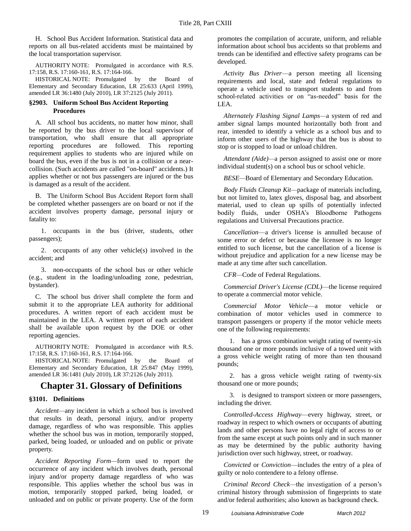H. School Bus Accident Information. Statistical data and reports on all bus-related accidents must be maintained by the local transportation supervisor.

AUTHORITY NOTE: Promulgated in accordance with R.S. 17:158, R.S. 17:160-161, R.S. 17:164-166.

HISTORICAL NOTE: Promulgated by the Board of Elementary and Secondary Education, LR 25:633 (April 1999), amended LR 36:1480 (July 2010), LR 37:2125 (July 2011).

### <span id="page-20-0"></span>**§2903. Uniform School Bus Accident Reporting Procedures**

A. All school bus accidents, no matter how minor, shall be reported by the bus driver to the local supervisor of transportation, who shall ensure that all appropriate reporting procedures are followed. This reporting requirement applies to students who are injured while on board the bus, even if the bus is not in a collision or a nearcollision. (Such accidents are called "on-board" accidents.) It applies whether or not bus passengers are injured or the bus is damaged as a result of the accident.

B. The Uniform School Bus Accident Report form shall be completed whether passengers are on board or not if the accident involves property damage, personal injury or fatality to:

1. occupants in the bus (driver, students, other passengers);

2. occupants of any other vehicle(s) involved in the accident; and

3. non-occupants of the school bus or other vehicle (e.g., student in the loading/unloading zone, pedestrian, bystander).

C. The school bus driver shall complete the form and submit it to the appropriate LEA authority for additional procedures. A written report of each accident must be maintained in the LEA. A written report of each accident shall be available upon request by the DOE or other reporting agencies.

AUTHORITY NOTE: Promulgated in accordance with R.S. 17:158, R.S. 17:160-161, R.S. 17:164-166.

HISTORICAL NOTE: Promulgated by the Board of Elementary and Secondary Education, LR 25:847 (May 1999), amended LR 36:1481 (July 2010), LR 37:2126 (July 2011).

### <span id="page-20-1"></span>**Chapter 31. Glossary of Definitions**

### <span id="page-20-2"></span>**§3101. Definitions**

*Accident—*any incident in which a school bus is involved that results in death, personal injury, and/or property damage, regardless of who was responsible. This applies whether the school bus was in motion, temporarily stopped, parked, being loaded, or unloaded and on public or private property.

*Accident Reporting Form—*form used to report the occurrence of any incident which involves death, personal injury and/or property damage regardless of who was responsible. This applies whether the school bus was in motion, temporarily stopped parked, being loaded, or unloaded and on public or private property. Use of the form promotes the compilation of accurate, uniform, and reliable information about school bus accidents so that problems and trends can be identified and effective safety programs can be developed.

*Activity Bus Driver*—a person meeting all licensing requirements and local, state and federal regulations to operate a vehicle used to transport students to and from school-related activities or on "as-needed" basis for the LEA.

*Alternately Flashing Signal Lamps—*a system of red and amber signal lamps mounted horizontally both front and rear, intended to identify a vehicle as a school bus and to inform other users of the highway that the bus is about to stop or is stopped to load or unload children.

*Attendant (Aide)—*a person assigned to assist one or more individual student(s) on a school bus or school vehicle.

*BESE—*Board of Elementary and Secondary Education*.*

*Body Fluids Cleanup Kit—*package of materials including, but not limited to, latex gloves, disposal bag, and absorbent material, used to clean up spills of potentially infected bodily fluids, under OSHA's Bloodborne Pathogens regulations and Universal Precautions practice.

*Cancellation*—a driver's license is annulled because of some error or defect or because the licensee is no longer entitled to such license, but the cancellation of a license is without prejudice and application for a new license may be made at any time after such cancellation.

*CFR—*Code of Federal Regulations.

*Commercial Driver's License (CDL)*—the license required to operate a commercial motor vehicle.

*Commercial Motor Vehicle*—a motor vehicle or combination of motor vehicles used in commerce to transport passengers or property if the motor vehicle meets one of the following requirements:

1. has a gross combination weight rating of twenty-six thousand one or more pounds inclusive of a towed unit with a gross vehicle weight rating of more than ten thousand pounds;

2. has a gross vehicle weight rating of twenty-six thousand one or more pounds;

3. is designed to transport sixteen or more passengers, including the driver.

*Controlled-Access Highway*—every highway, street, or roadway in respect to which owners or occupants of abutting lands and other persons have no legal right of access to or from the same except at such points only and in such manner as may be determined by the public authority having jurisdiction over such highway, street, or roadway.

*Convicted* or *Conviction*—includes the entry of a plea of guilty or nolo contendere to a felony offense.

*Criminal Record Check—*the investigation of a person's criminal history through submission of fingerprints to state and/or federal authorities; also known as background check.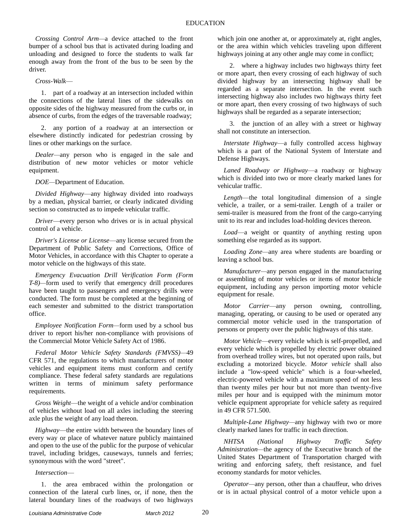*Crossing Control Arm—*a device attached to the front bumper of a school bus that is activated during loading and unloading and designed to force the students to walk far enough away from the front of the bus to be seen by the driver.

*Cross-Walk*—

1. part of a roadway at an intersection included within the connections of the lateral lines of the sidewalks on opposite sides of the highway measured from the curbs or, in absence of curbs, from the edges of the traversable roadway;

2. any portion of a roadway at an intersection or elsewhere distinctly indicated for pedestrian crossing by lines or other markings on the surface.

*Dealer—*any person who is engaged in the sale and distribution of new motor vehicles or motor vehicle equipment.

*DOE—*Department of Education.

*Divided Highway*—any highway divided into roadways by a median, physical barrier, or clearly indicated dividing section so constructed as to impede vehicular traffic.

*Driver*—every person who drives or is in actual physical control of a vehicle.

*Driver's License or License*—any license secured from the Department of Public Safety and Corrections, Office of Motor Vehicles, in accordance with this Chapter to operate a motor vehicle on the highways of this state.

*Emergency Evacuation Drill Verification Form (Form T-8)—*form used to verify that emergency drill procedures have been taught to passengers and emergency drills were conducted. The form must be completed at the beginning of each semester and submitted to the district transportation office.

*Employee Notification Form—*form used by a school bus driver to report his/her non-compliance with provisions of the Commercial Motor Vehicle Safety Act of 1986.

*Federal Motor Vehicle Safety Standards (FMVSS)—*49 CFR 571, the regulations to which manufacturers of motor vehicles and equipment items must conform and certify compliance. These federal safety standards are regulations written in terms of minimum safety performance requirements.

*Gross Weight*—the weight of a vehicle and/or combination of vehicles without load on all axles including the steering axle plus the weight of any load thereon.

*Highway*—the entire width between the boundary lines of every way or place of whatever nature publicly maintained and open to the use of the public for the purpose of vehicular travel, including bridges, causeways, tunnels and ferries; synonymous with the word "street".

*Intersection*—

1. the area embraced within the prolongation or connection of the lateral curb lines, or, if none, then the lateral boundary lines of the roadways of two highways

which join one another at, or approximately at, right angles, or the area within which vehicles traveling upon different highways joining at any other angle may come in conflict;

2. where a highway includes two highways thirty feet or more apart, then every crossing of each highway of such divided highway by an intersecting highway shall be regarded as a separate intersection. In the event such intersecting highway also includes two highways thirty feet or more apart, then every crossing of two highways of such highways shall be regarded as a separate intersection;

3. the junction of an alley with a street or highway shall not constitute an intersection.

*Interstate Highway*—a fully controlled access highway which is a part of the National System of Interstate and Defense Highways.

*Laned Roadway or Highway*—a roadway or highway which is divided into two or more clearly marked lanes for vehicular traffic.

*Length*—the total longitudinal dimension of a single vehicle, a trailer, or a semi-trailer. Length of a trailer or semi-trailer is measured from the front of the cargo-carrying unit to its rear and includes load-holding devices thereon.

*Load*—a weight or quantity of anything resting upon something else regarded as its support.

*Loading Zone—*any area where students are boarding or leaving a school bus.

*Manufacturer—*any person engaged in the manufacturing or assembling of motor vehicles or items of motor behicle equipment, including any person importing motor vehicle equipment for resale.

*Motor Carrier*—any person owning, controlling, managing, operating, or causing to be used or operated any commercial motor vehicle used in the transportation of persons or property over the public highways of this state.

*Motor Vehicle*—every vehicle which is self-propelled, and every vehicle which is propelled by electric power obtained from overhead trolley wires, but not operated upon rails, but excluding a motorized bicycle. *Motor vehicle* shall also include a "low-speed vehicle" which is a four-wheeled, electric-powered vehicle with a maximum speed of not less than twenty miles per hour but not more than twenty-five miles per hour and is equipped with the minimum motor vehicle equipment appropriate for vehicle safety as required in 49 CFR 571.500.

*Multiple-Lane Highway—*any highway with two or more clearly marked lanes for traffic in each direction.

*NHTSA (National Highway Traffic Safety Administration—*the agency of the Executive branch of the United States Department of Transportation charged with writing and enforcing safety, theft resistance, and fuel economy standards for motor vehicles.

*Operator—*any person, other than a chauffeur, who drives or is in actual physical control of a motor vehicle upon a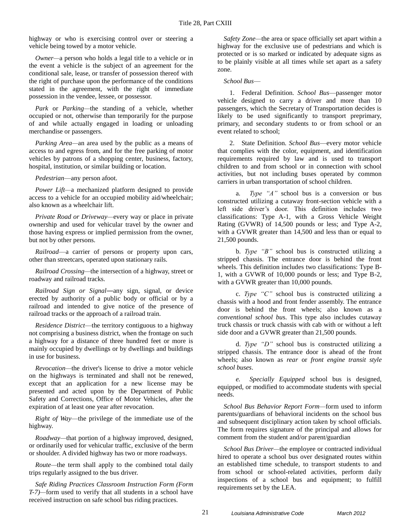highway or who is exercising control over or steering a vehicle being towed by a motor vehicle.

*Owner—*a person who holds a legal title to a vehicle or in the event a vehicle is the subject of an agreement for the conditional sale, lease, or transfer of possession thereof with the right of purchase upon the performance of the conditions stated in the agreement, with the right of immediate possession in the vendee, lessee, or possessor.

*Park* or *Parking—*the standing of a vehicle, whether occupied or not, otherwise than temporarily for the purpose of and while actually engaged in loading or unloading merchandise or passengers.

*Parking Area—*an area used by the public as a means of access to and egress from, and for the free parking of motor vehicles by patrons of a shopping center, business, factory, hospital, institution, or similar building or location.

*Pedestrian*—any person afoot.

*Power Lift—*a mechanized platform designed to provide access to a vehicle for an occupied mobility aid/wheelchair; also known as a wheelchair lift.

*Private Road or Driveway—*every way or place in private ownership and used for vehicular travel by the owner and those having express or implied permission from the owner, but not by other persons.

*Railroad*—a carrier of persons or property upon cars, other than streetcars, operated upon stationary rails.

*Railroad Crossing—*the intersection of a highway, street or roadway and railroad tracks.

*Railroad Sign or Signal―*any sign, signal, or device erected by authority of a public body or official or by a railroad and intended to give notice of the presence of railroad tracks or the approach of a railroad train.

*Residence District*—the territory contiguous to a highway not comprising a business district, when the frontage on such a highway for a distance of three hundred feet or more is mainly occupied by dwellings or by dwellings and buildings in use for business.

*Revocation—*the driver's license to drive a motor vehicle on the highways is terminated and shall not be renewed, except that an application for a new license may be presented and acted upon by the Department of Public Safety and Corrections, Office of Motor Vehicles, after the expiration of at least one year after revocation.

*Right of Way*—the privilege of the immediate use of the highway.

*Roadway—*that portion of a highway improved, designed, or ordinarily used for vehicular traffic, exclusive of the berm or shoulder. A divided highway has two or more roadways.

*Route—*the term shall apply to the combined total daily trips regularly assigned to the bus driver.

*Safe Riding Practices Classroom Instruction Form (Form T-7)—*form used to verify that all students in a school have received instruction on safe school bus riding practices.

*Safety Zone—*the area or space officially set apart within a highway for the exclusive use of pedestrians and which is protected or is so marked or indicated by adequate signs as to be plainly visible at all times while set apart as a safety zone.

### *School Bus*—

1. Federal Definition. *School Bus*—passenger motor vehicle designed to carry a driver and more than 10 passengers, which the Secretary of Transportation decides is likely to be used significantly to transport preprimary, primary, and secondary students to or from school or an event related to school;

2. State Definition. *School Bus*—every motor vehicle that complies with the color, equipment, and identification requirements required by law and is used to transport children to and from school or in connection with school activities, but not including buses operated by common carriers in urban transportation of school children.

a. *Type "A"* school bus is a conversion or bus constructed utilizing a cutaway front-section vehicle with a left side driver's door. This definition includes two classifications: Type A-1, with a Gross Vehicle Weight Rating (GVWR) of 14,500 pounds or less; and Type A-2, with a GVWR greater than 14,500 and less than or equal to 21,500 pounds.

b. *Type "B"* school bus is constructed utilizing a stripped chassis. The entrance door is behind the front wheels. This definition includes two classifications: Type B-1, with a GVWR of 10,000 pounds or less; and Type B-2, with a GVWR greater than 10,000 pounds.

c. *Type "C"* school bus is constructed utilizing a chassis with a hood and front fender assembly. The entrance door is behind the front wheels; also known as a *conventional school bu*s. This type also includes cutaway truck chassis or truck chassis with cab with or without a left side door and a GVWR greater than 21,500 pounds.

d. *Type "D"* school bus is constructed utilizing a stripped chassis. The entrance door is ahead of the front wheels; also known as *rear* or *front engine transit style school buses*.

*e. Specially Equipped* school bus is designed, equipped, or modified to accommodate students with special needs.

*School Bus Behavior Report Form—*form used to inform parents/guardians of behavioral incidents on the school bus and subsequent disciplinary action taken by school officials. The form requires signature of the principal and allows for comment from the student and/or parent/guardian

*School Bus Driver—*the employee or contracted individual hired to operate a school bus over designated routes within an established time schedule, to transport students to and from school or school-related activities, perform daily inspections of a school bus and equipment; to fulfill requirements set by the LEA.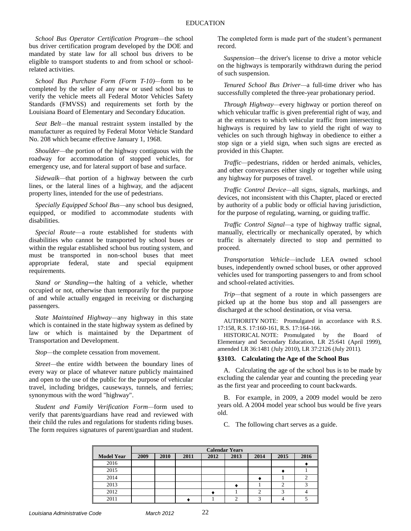*School Bus Operator Certification Program—*the school bus driver certification program developed by the DOE and mandated by state law for all school bus drivers to be eligible to transport students to and from school or schoolrelated activities.

*School Bus Purchase Form (Form T-10)—*form to be completed by the seller of any new or used school bus to verify the vehicle meets all Federal Motor Vehicles Safety Standards (FMVSS) and requirements set forth by the Louisiana Board of Elementary and Secondary Education.

*Seat Belt—*the manual restraint system installed by the manufacturer as required by Federal Motor Vehicle Standard No. 208 which became effective January 1, 1968.

*Shoulder—*the portion of the highway contiguous with the roadway for accommodation of stopped vehicles, for emergency use, and for lateral support of base and surface.

*Sidewalk—*that portion of a highway between the curb lines, or the lateral lines of a highway, and the adjacent property lines, intended for the use of pedestrians.

*Specially Equipped School Bus—*any school bus designed, equipped, or modified to accommodate students with disabilities.

*Special Route*—a route established for students with disabilities who cannot be transported by school buses or within the regular established school bus routing system, and must be transported in non-school buses that meet appropriate federal, state and special equipment requirements.

*Stand or Standing―*the halting of a vehicle, whether occupied or not, otherwise than temporarily for the purpose of and while actually engaged in receiving or discharging passengers.

*State Maintained Highway—*any highway in this state which is contained in the state highway system as defined by law or which is maintained by the Department of Transportation and Development.

*Stop—*the complete cessation from movement.

*Street—*the entire width between the boundary lines of every way or place of whatever nature publicly maintained and open to the use of the public for the purpose of vehicular travel, including bridges, causeways, tunnels, and ferries; synonymous with the word "highway".

*Student and Family Verification Form—*form used to verify that parents/guardians have read and reviewed with their child the rules and regulations for students riding buses. The form requires signatures of parent/guardian and student.

The completed form is made part of the student's permanent record.

*Suspension—*the driver's license to drive a motor vehicle on the highways is temporarily withdrawn during the period of such suspension.

*Tenured School Bus Driver—*a full-time driver who has successfully completed the three-year probationary period.

*Through Highway—*every highway or portion thereof on which vehicular traffic is given preferential right of way, and at the entrances to which vehicular traffic from intersecting highways is required by law to yield the right of way to vehicles on such through highway in obedience to either a stop sign or a yield sign, when such signs are erected as provided in this Chapter.

*Traffic—*pedestrians, ridden or herded animals, vehicles, and other conveyances either singly or together while using any highway for purposes of travel.

*Traffic Control Device—*all signs, signals, markings, and devices, not inconsistent with this Chapter, placed or erected by authority of a public body or official having jurisdiction, for the purpose of regulating, warning, or guiding traffic.

*Traffic Control Signal—*a type of highway traffic signal, manually, electrically or mechanically operated, by which traffic is alternately directed to stop and permitted to proceed.

*Transportation Vehicle—*include LEA owned school buses, independently owned school buses, or other approved vehicles used for transporting passengers to and from school and school-related activities.

*Trip—*that segment of a route in which passengers are picked up at the home bus stop and all passengers are discharged at the school destination, or visa versa.

AUTHORITY NOTE: Promulgated in accordance with R.S. 17:158, R.S. 17:160-161, R.S. 17:164-166.

HISTORICAL NOTE: Promulgated by the Board of Elementary and Secondary Education, LR 25:641 (April 1999), amended LR 36:1481 (July 2010), LR 37:2126 (July 2011).

### <span id="page-23-0"></span>**§3103. Calculating the Age of the School Bus**

A. Calculating the age of the school bus is to be made by excluding the calendar year and counting the preceding year as the first year and proceeding to count backwards.

B. For example, in 2009, a 2009 model would be zero years old. A 2004 model year school bus would be five years old.

C. The following chart serves as a guide.

|                   | <b>Calendar Years</b> |      |      |      |      |      |      |      |
|-------------------|-----------------------|------|------|------|------|------|------|------|
| <b>Model Year</b> | 2009                  | 2010 | 2011 | 2012 | 2013 | 2014 | 2015 | 2016 |
| 2016              |                       |      |      |      |      |      |      |      |
| 2015              |                       |      |      |      |      |      |      |      |
| 2014              |                       |      |      |      |      |      |      |      |
| 2013              |                       |      |      |      |      |      |      |      |
| 2012              |                       |      |      |      |      |      |      |      |
| 2011              |                       |      |      |      |      |      |      |      |